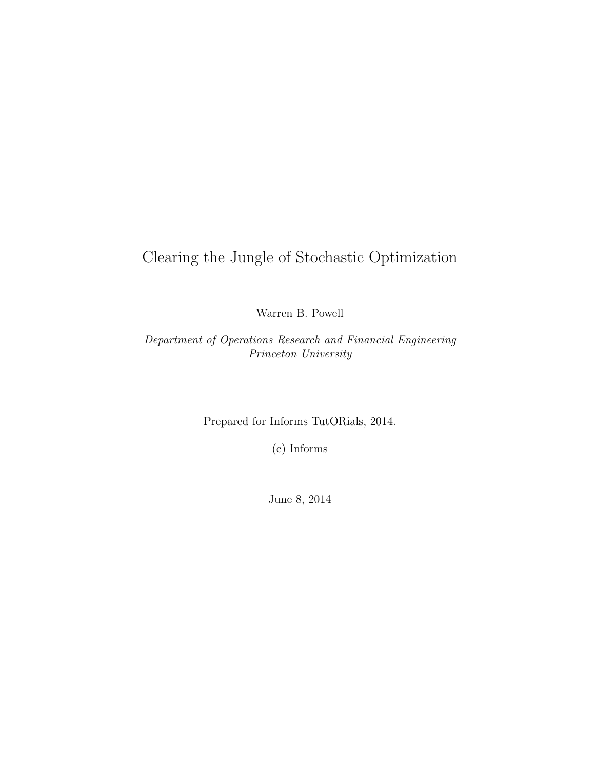# <span id="page-0-0"></span>Clearing the Jungle of Stochastic Optimization

Warren B. Powell

Department of Operations Research and Financial Engineering Princeton University

Prepared for Informs TutORials, 2014.

(c) Informs

June 8, 2014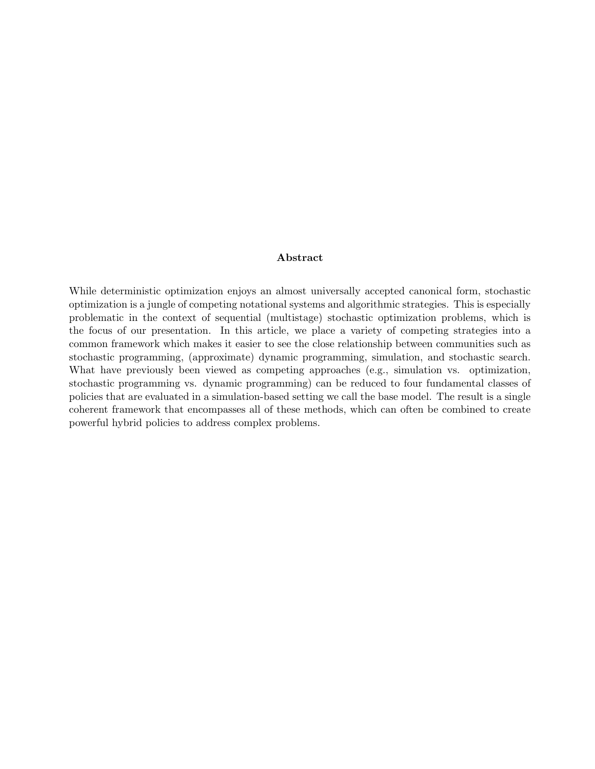#### Abstract

While deterministic optimization enjoys an almost universally accepted canonical form, stochastic optimization is a jungle of competing notational systems and algorithmic strategies. This is especially problematic in the context of sequential (multistage) stochastic optimization problems, which is the focus of our presentation. In this article, we place a variety of competing strategies into a common framework which makes it easier to see the close relationship between communities such as stochastic programming, (approximate) dynamic programming, simulation, and stochastic search. What have previously been viewed as competing approaches (e.g., simulation vs. optimization, stochastic programming vs. dynamic programming) can be reduced to four fundamental classes of policies that are evaluated in a simulation-based setting we call the base model. The result is a single coherent framework that encompasses all of these methods, which can often be combined to create powerful hybrid policies to address complex problems.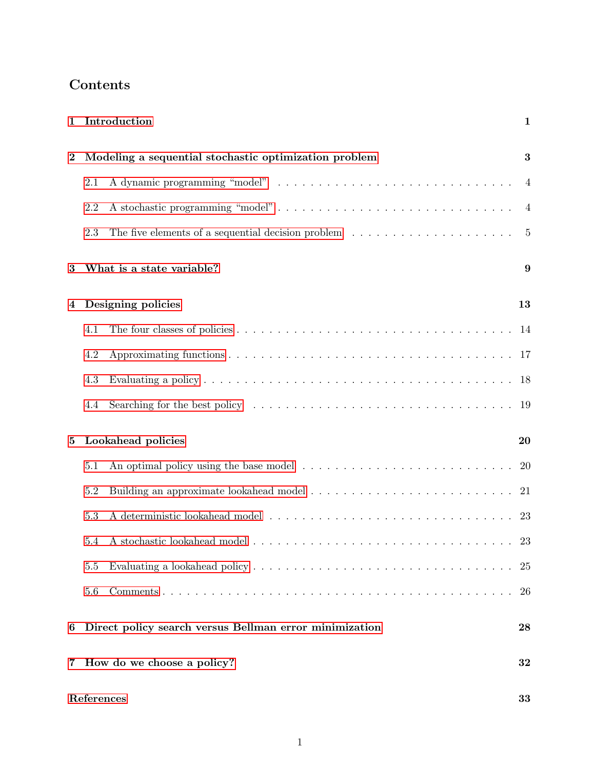## Contents

| $\mathbf 1$             |                                                        | Introduction                                                                                                      | $\mathbf{1}$   |
|-------------------------|--------------------------------------------------------|-------------------------------------------------------------------------------------------------------------------|----------------|
| $\bf{2}$                |                                                        | Modeling a sequential stochastic optimization problem                                                             |                |
|                         | 2.1                                                    |                                                                                                                   | $\overline{4}$ |
|                         | 2.2                                                    |                                                                                                                   | $\overline{4}$ |
|                         | 2.3                                                    | The five elements of a sequential decision problem $\dots \dots \dots \dots \dots \dots \dots \dots$              |                |
| 3                       |                                                        | What is a state variable?                                                                                         | 9              |
| 4                       |                                                        | Designing policies                                                                                                | 13             |
|                         | 4.1                                                    |                                                                                                                   |                |
|                         | 4.2                                                    |                                                                                                                   |                |
|                         | 4.3                                                    |                                                                                                                   |                |
|                         | 4.4                                                    |                                                                                                                   |                |
| Lookahead policies<br>5 |                                                        |                                                                                                                   | 20             |
|                         | 5.1                                                    | An optimal policy using the base model $\ldots \ldots \ldots \ldots \ldots \ldots \ldots \ldots \ldots 20$        |                |
|                         | 5.2                                                    |                                                                                                                   |                |
|                         | 5.3                                                    | A deterministic lookahead model $\ldots \ldots \ldots \ldots \ldots \ldots \ldots \ldots \ldots \ldots \ldots$ 23 |                |
|                         | 5.4                                                    | A stochastic lookahead model $\ldots \ldots \ldots \ldots \ldots \ldots \ldots \ldots \ldots \ldots \ldots$ 23    |                |
|                         | 5.5                                                    |                                                                                                                   | 25             |
|                         | 5.6                                                    |                                                                                                                   | -26            |
| 6                       | Direct policy search versus Bellman error minimization |                                                                                                                   | 28             |
| 7                       |                                                        | How do we choose a policy?                                                                                        | 32             |
| References              |                                                        |                                                                                                                   | 33             |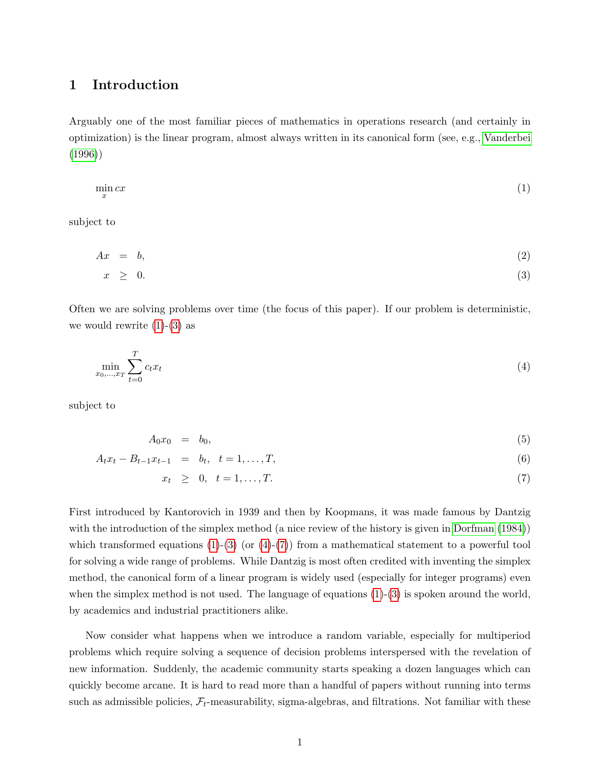## <span id="page-3-0"></span>1 Introduction

Arguably one of the most familiar pieces of mathematics in operations research (and certainly in optimization) is the linear program, almost always written in its canonical form (see, e.g., [Vanderbei](#page-39-0) [\(1996\)](#page-39-0))

<span id="page-3-1"></span>
$$
\min_{x} cx \tag{1}
$$

subject to

<span id="page-3-2"></span>
$$
Ax = b,\tag{2}
$$

$$
x \geq 0. \tag{3}
$$

Often we are solving problems over time (the focus of this paper). If our problem is deterministic, we would rewrite  $(1)-(3)$  $(1)-(3)$  $(1)-(3)$  as

<span id="page-3-3"></span>
$$
\min_{x_0, \dots, x_T} \sum_{t=0}^T c_t x_t \tag{4}
$$

subject to

<span id="page-3-4"></span>
$$
A_0 x_0 = b_0, \tag{5}
$$

$$
A_t x_t - B_{t-1} x_{t-1} = b_t, \quad t = 1, \dots, T,
$$
\n<sup>(6)</sup>

$$
x_t \geq 0, \quad t = 1, \dots, T. \tag{7}
$$

First introduced by Kantorovich in 1939 and then by Koopmans, it was made famous by Dantzig with the introduction of the simplex method (a nice review of the history is given in [Dorfman](#page-36-0) [\(1984\)](#page-36-0)) which transformed equations  $(1)-(3)$  $(1)-(3)$  $(1)-(3)$  (or  $(4)-(7)$  $(4)-(7)$  $(4)-(7)$ ) from a mathematical statement to a powerful tool for solving a wide range of problems. While Dantzig is most often credited with inventing the simplex method, the canonical form of a linear program is widely used (especially for integer programs) even when the simplex method is not used. The language of equations  $(1)-(3)$  $(1)-(3)$  $(1)-(3)$  is spoken around the world, by academics and industrial practitioners alike.

Now consider what happens when we introduce a random variable, especially for multiperiod problems which require solving a sequence of decision problems interspersed with the revelation of new information. Suddenly, the academic community starts speaking a dozen languages which can quickly become arcane. It is hard to read more than a handful of papers without running into terms such as admissible policies,  $\mathcal{F}_t$ -measurability, sigma-algebras, and filtrations. Not familiar with these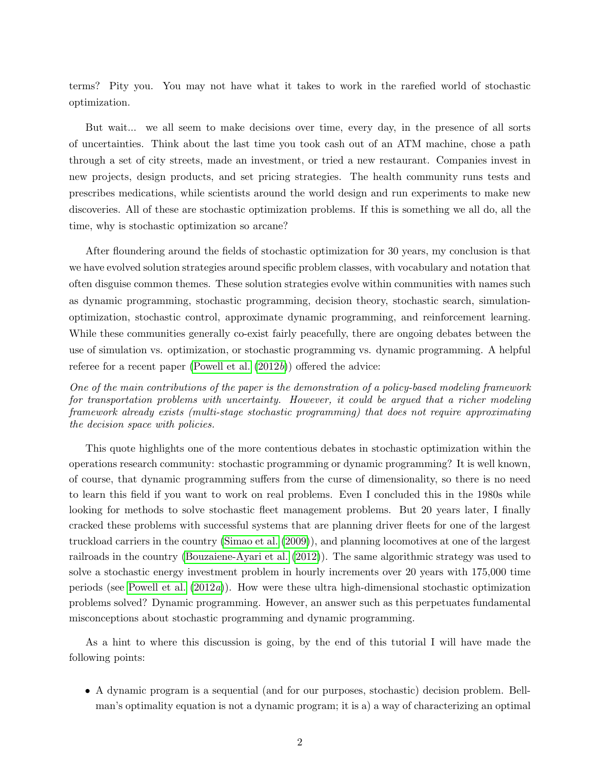<span id="page-4-0"></span>terms? Pity you. You may not have what it takes to work in the rarefied world of stochastic optimization.

But wait... we all seem to make decisions over time, every day, in the presence of all sorts of uncertainties. Think about the last time you took cash out of an ATM machine, chose a path through a set of city streets, made an investment, or tried a new restaurant. Companies invest in new projects, design products, and set pricing strategies. The health community runs tests and prescribes medications, while scientists around the world design and run experiments to make new discoveries. All of these are stochastic optimization problems. If this is something we all do, all the time, why is stochastic optimization so arcane?

After floundering around the fields of stochastic optimization for 30 years, my conclusion is that we have evolved solution strategies around specific problem classes, with vocabulary and notation that often disguise common themes. These solution strategies evolve within communities with names such as dynamic programming, stochastic programming, decision theory, stochastic search, simulationoptimization, stochastic control, approximate dynamic programming, and reinforcement learning. While these communities generally co-exist fairly peacefully, there are ongoing debates between the use of simulation vs. optimization, or stochastic programming vs. dynamic programming. A helpful referee for a recent paper [\(Powell et al.](#page-38-0)  $(2012b)$  $(2012b)$ ) offered the advice:

One of the main contributions of the paper is the demonstration of a policy-based modeling framework for transportation problems with uncertainty. However, it could be argued that a richer modeling framework already exists (multi-stage stochastic programming) that does not require approximating the decision space with policies.

This quote highlights one of the more contentious debates in stochastic optimization within the operations research community: stochastic programming or dynamic programming? It is well known, of course, that dynamic programming suffers from the curse of dimensionality, so there is no need to learn this field if you want to work on real problems. Even I concluded this in the 1980s while looking for methods to solve stochastic fleet management problems. But 20 years later, I finally cracked these problems with successful systems that are planning driver fleets for one of the largest truckload carriers in the country [\(Simao et al.](#page-38-1) [\(2009\)](#page-38-1)), and planning locomotives at one of the largest railroads in the country [\(Bouzaiene-Ayari et al.](#page-36-1) [\(2012\)](#page-36-1)). The same algorithmic strategy was used to solve a stochastic energy investment problem in hourly increments over 20 years with 175,000 time periods (see [Powell et al.](#page-38-2)  $(2012a)$  $(2012a)$ ). How were these ultra high-dimensional stochastic optimization problems solved? Dynamic programming. However, an answer such as this perpetuates fundamental misconceptions about stochastic programming and dynamic programming.

As a hint to where this discussion is going, by the end of this tutorial I will have made the following points:

• A dynamic program is a sequential (and for our purposes, stochastic) decision problem. Bellman's optimality equation is not a dynamic program; it is a) a way of characterizing an optimal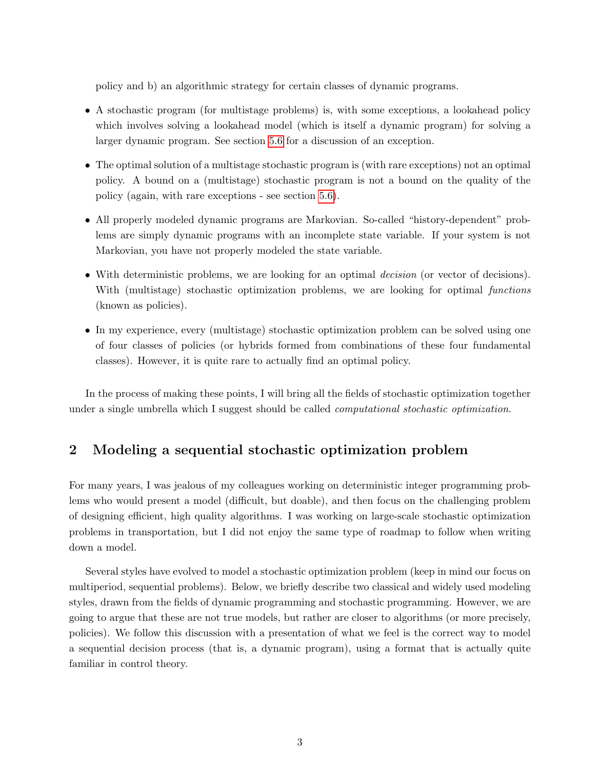policy and b) an algorithmic strategy for certain classes of dynamic programs.

- A stochastic program (for multistage problems) is, with some exceptions, a lookahead policy which involves solving a lookahead model (which is itself a dynamic program) for solving a larger dynamic program. See section [5.6](#page-28-0) for a discussion of an exception.
- The optimal solution of a multistage stochastic program is (with rare exceptions) not an optimal policy. A bound on a (multistage) stochastic program is not a bound on the quality of the policy (again, with rare exceptions - see section [5.6\)](#page-28-0).
- All properly modeled dynamic programs are Markovian. So-called "history-dependent" problems are simply dynamic programs with an incomplete state variable. If your system is not Markovian, you have not properly modeled the state variable.
- With deterministic problems, we are looking for an optimal *decision* (or vector of decisions). With (multistage) stochastic optimization problems, we are looking for optimal *functions* (known as policies).
- In my experience, every (multistage) stochastic optimization problem can be solved using one of four classes of policies (or hybrids formed from combinations of these four fundamental classes). However, it is quite rare to actually find an optimal policy.

In the process of making these points, I will bring all the fields of stochastic optimization together under a single umbrella which I suggest should be called *computational stochastic optimization*.

## <span id="page-5-0"></span>2 Modeling a sequential stochastic optimization problem

For many years, I was jealous of my colleagues working on deterministic integer programming problems who would present a model (difficult, but doable), and then focus on the challenging problem of designing efficient, high quality algorithms. I was working on large-scale stochastic optimization problems in transportation, but I did not enjoy the same type of roadmap to follow when writing down a model.

Several styles have evolved to model a stochastic optimization problem (keep in mind our focus on multiperiod, sequential problems). Below, we briefly describe two classical and widely used modeling styles, drawn from the fields of dynamic programming and stochastic programming. However, we are going to argue that these are not true models, but rather are closer to algorithms (or more precisely, policies). We follow this discussion with a presentation of what we feel is the correct way to model a sequential decision process (that is, a dynamic program), using a format that is actually quite familiar in control theory.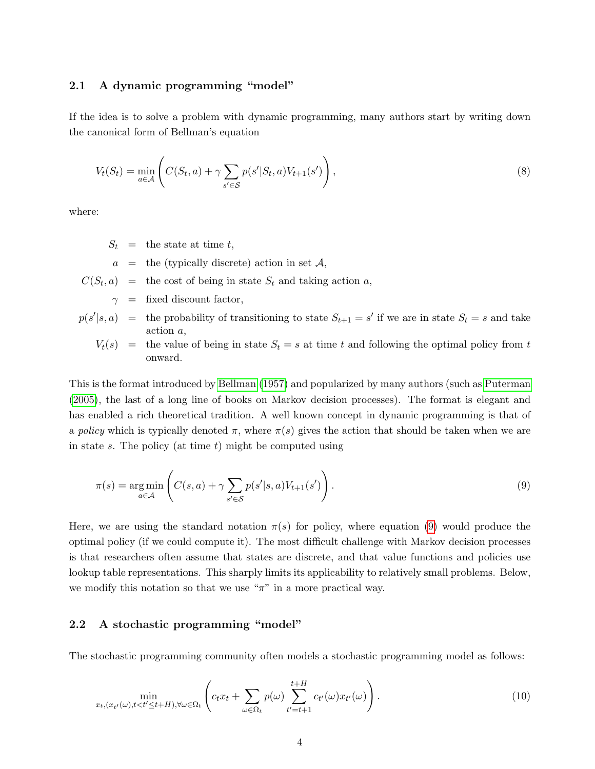#### <span id="page-6-5"></span><span id="page-6-0"></span>2.1 A dynamic programming "model"

If the idea is to solve a problem with dynamic programming, many authors start by writing down the canonical form of Bellman's equation

<span id="page-6-4"></span>
$$
V_t(S_t) = \min_{a \in \mathcal{A}} \left( C(S_t, a) + \gamma \sum_{s' \in \mathcal{S}} p(s'|S_t, a) V_{t+1}(s') \right),\tag{8}
$$

where:

 $S_t$  = the state at time t,

 $a =$  the (typically discrete) action in set A,

$$
C(S_t, a)
$$
 = the cost of being in state  $S_t$  and taking action a,

 $\gamma$  = fixed discount factor,

$$
p(s'|s, a)
$$
 = the probability of transitioning to state  $S_{t+1} = s'$  if we are in state  $S_t = s$  and take action a,

$$
V_t(s) =
$$
 the value of being in state  $S_t = s$  at time t and following the optimal policy from t onward.

This is the format introduced by [Bellman](#page-36-2) [\(1957\)](#page-36-2) and popularized by many authors (such as [Puterman](#page-38-3) [\(2005\)](#page-38-3), the last of a long line of books on Markov decision processes). The format is elegant and has enabled a rich theoretical tradition. A well known concept in dynamic programming is that of a policy which is typically denoted  $\pi$ , where  $\pi(s)$  gives the action that should be taken when we are in state s. The policy (at time  $t$ ) might be computed using

<span id="page-6-2"></span>
$$
\pi(s) = \underset{a \in \mathcal{A}}{\arg \min} \left( C(s, a) + \gamma \sum_{s' \in \mathcal{S}} p(s'|s, a) V_{t+1}(s') \right). \tag{9}
$$

Here, we are using the standard notation  $\pi(s)$  for policy, where equation [\(9\)](#page-6-2) would produce the optimal policy (if we could compute it). The most difficult challenge with Markov decision processes is that researchers often assume that states are discrete, and that value functions and policies use lookup table representations. This sharply limits its applicability to relatively small problems. Below, we modify this notation so that we use " $\pi$ " in a more practical way.

#### <span id="page-6-1"></span>2.2 A stochastic programming "model"

The stochastic programming community often models a stochastic programming model as follows:

<span id="page-6-3"></span>
$$
\min_{x_t, (x_{t'}(\omega), t < t' \le t + H), \forall \omega \in \Omega_t} \left( c_t x_t + \sum_{\omega \in \Omega_t} p(\omega) \sum_{t'=t+1}^{t+H} c_{t'}(\omega) x_{t'}(\omega) \right).
$$
\n(10)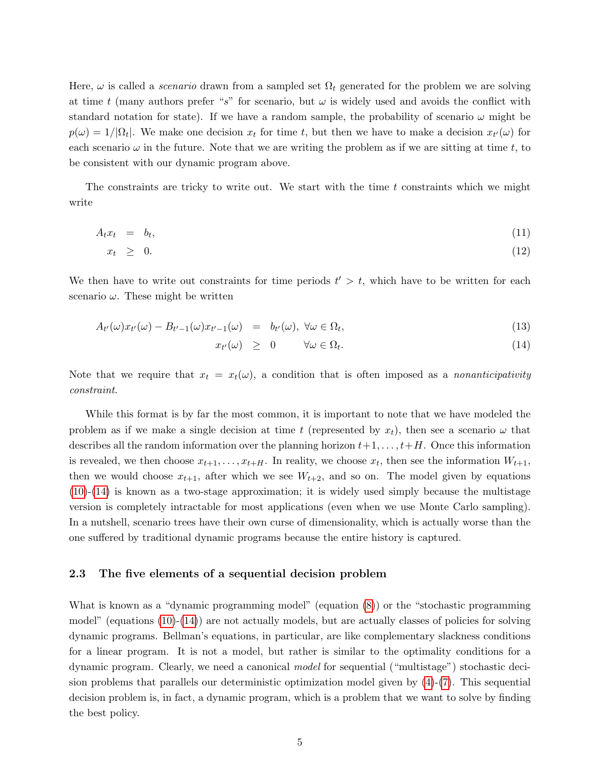Here,  $\omega$  is called a *scenario* drawn from a sampled set  $\Omega_t$  generated for the problem we are solving at time t (many authors prefer "s" for scenario, but  $\omega$  is widely used and avoids the conflict with standard notation for state). If we have a random sample, the probability of scenario  $\omega$  might be  $p(\omega) = 1/|\Omega_t|$ . We make one decision  $x_t$  for time t, but then we have to make a decision  $x_{t'}(\omega)$  for each scenario  $\omega$  in the future. Note that we are writing the problem as if we are sitting at time t, to be consistent with our dynamic program above.

The constraints are tricky to write out. We start with the time  $t$  constraints which we might write

$$
A_t x_t = b_t, \tag{11}
$$

$$
x_t \geq 0. \tag{12}
$$

We then have to write out constraints for time periods  $t' > t$ , which have to be written for each scenario  $\omega$ . These might be written

<span id="page-7-1"></span>
$$
A_{t'}(\omega)x_{t'}(\omega) - B_{t'-1}(\omega)x_{t'-1}(\omega) = b_{t'}(\omega), \ \forall \omega \in \Omega_t,
$$
\n
$$
(13)
$$

$$
x_{t'}(\omega) \geq 0 \qquad \forall \omega \in \Omega_t. \tag{14}
$$

Note that we require that  $x_t = x_t(\omega)$ , a condition that is often imposed as a nonanticipativity constraint.

While this format is by far the most common, it is important to note that we have modeled the problem as if we make a single decision at time t (represented by  $x_t$ ), then see a scenario  $\omega$  that describes all the random information over the planning horizon  $t+1, \ldots, t+H$ . Once this information is revealed, we then choose  $x_{t+1}, \ldots, x_{t+H}$ . In reality, we choose  $x_t$ , then see the information  $W_{t+1}$ , then we would choose  $x_{t+1}$ , after which we see  $W_{t+2}$ , and so on. The model given by equations [\(10\)](#page-6-3)-[\(14\)](#page-7-1) is known as a two-stage approximation; it is widely used simply because the multistage version is completely intractable for most applications (even when we use Monte Carlo sampling). In a nutshell, scenario trees have their own curse of dimensionality, which is actually worse than the one suffered by traditional dynamic programs because the entire history is captured.

#### <span id="page-7-0"></span>2.3 The five elements of a sequential decision problem

 $\mathcal{L}$ 

What is known as a "dynamic programming model" (equation [\(8\)](#page-6-4)) or the "stochastic programming model" (equations  $(10)-(14)$  $(10)-(14)$  $(10)-(14)$ ) are not actually models, but are actually classes of policies for solving dynamic programs. Bellman's equations, in particular, are like complementary slackness conditions for a linear program. It is not a model, but rather is similar to the optimality conditions for a dynamic program. Clearly, we need a canonical *model* for sequential ("multistage") stochastic decision problems that parallels our deterministic optimization model given by [\(4\)](#page-3-3)-[\(7\)](#page-3-4). This sequential decision problem is, in fact, a dynamic program, which is a problem that we want to solve by finding the best policy.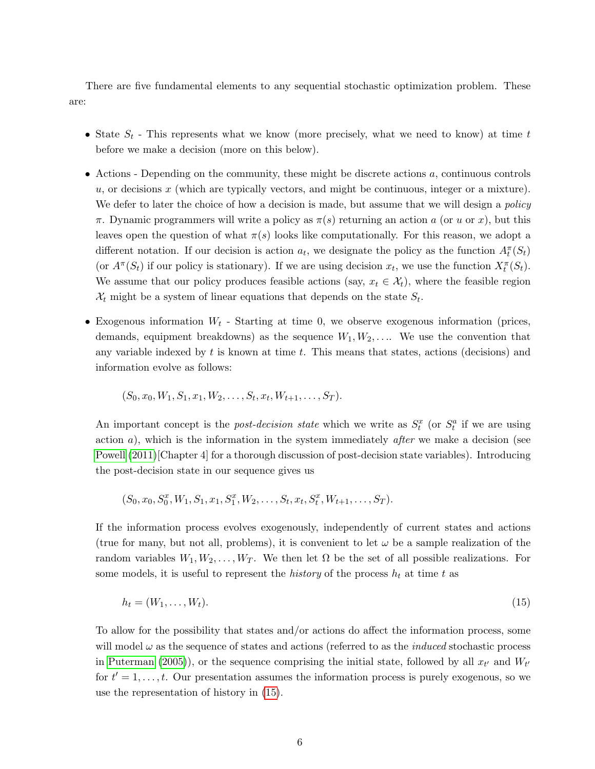<span id="page-8-1"></span>There are five fundamental elements to any sequential stochastic optimization problem. These are:

- State  $S_t$  This represents what we know (more precisely, what we need to know) at time t before we make a decision (more on this below).
- Actions Depending on the community, these might be discrete actions a, continuous controls  $u$ , or decisions x (which are typically vectors, and might be continuous, integer or a mixture). We defer to later the choice of how a decision is made, but assume that we will design a *policy*  $\pi$ . Dynamic programmers will write a policy as  $\pi(s)$  returning an action a (or u or x), but this leaves open the question of what  $\pi(s)$  looks like computationally. For this reason, we adopt a different notation. If our decision is action  $a_t$ , we designate the policy as the function  $A_t^{\pi}(S_t)$ (or  $A^{\pi}(S_t)$  if our policy is stationary). If we are using decision  $x_t$ , we use the function  $X_t^{\pi}(S_t)$ . We assume that our policy produces feasible actions (say,  $x_t \in \mathcal{X}_t$ ), where the feasible region  $\mathcal{X}_t$  might be a system of linear equations that depends on the state  $S_t$ .
- Exogenous information  $W_t$  Starting at time 0, we observe exogenous information (prices, demands, equipment breakdowns) as the sequence  $W_1, W_2, \ldots$ . We use the convention that any variable indexed by  $t$  is known at time  $t$ . This means that states, actions (decisions) and information evolve as follows:

$$
(S_0, x_0, W_1, S_1, x_1, W_2, \ldots, S_t, x_t, W_{t+1}, \ldots, S_T).
$$

An important concept is the *post-decision state* which we write as  $S_t^x$  (or  $S_t^a$  if we are using action  $a$ ), which is the information in the system immediately *after* we make a decision (see [Powell](#page-37-0) [\(2011\)](#page-37-0)[Chapter 4] for a thorough discussion of post-decision state variables). Introducing the post-decision state in our sequence gives us

$$
(S_0, x_0, S_0^x, W_1, S_1, x_1, S_1^x, W_2, \ldots, S_t, x_t, S_t^x, W_{t+1}, \ldots, S_T).
$$

If the information process evolves exogenously, independently of current states and actions (true for many, but not all, problems), it is convenient to let  $\omega$  be a sample realization of the random variables  $W_1, W_2, \ldots, W_T$ . We then let  $\Omega$  be the set of all possible realizations. For some models, it is useful to represent the *history* of the process  $h_t$  at time t as

<span id="page-8-0"></span>
$$
h_t = (W_1, \dots, W_t). \tag{15}
$$

To allow for the possibility that states and/or actions do affect the information process, some will model  $\omega$  as the sequence of states and actions (referred to as the *induced* stochastic process in [Puterman](#page-38-3) [\(2005\)](#page-38-3)), or the sequence comprising the initial state, followed by all  $x_{t'}$  and  $W_{t'}$ for  $t' = 1, \ldots, t$ . Our presentation assumes the information process is purely exogenous, so we use the representation of history in [\(15\)](#page-8-0).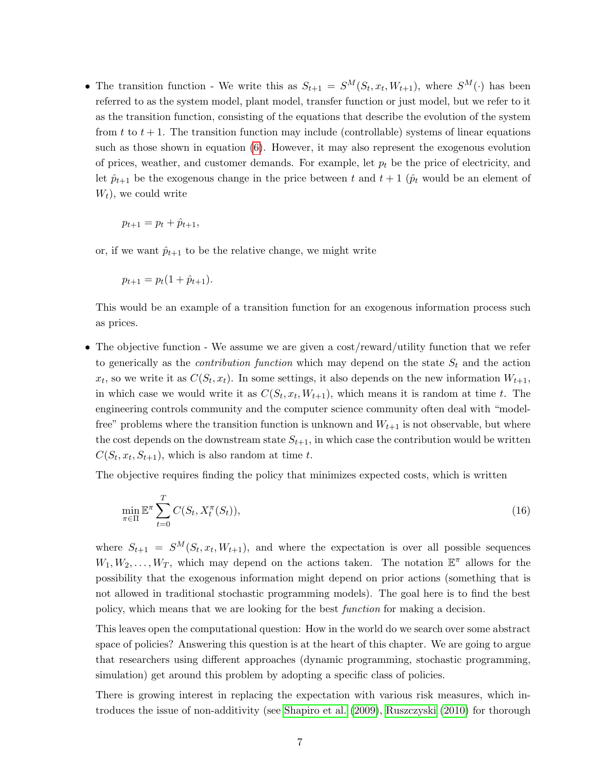<span id="page-9-1"></span>• The transition function - We write this as  $S_{t+1} = S^M(S_t, x_t, W_{t+1})$ , where  $S^M(\cdot)$  has been referred to as the system model, plant model, transfer function or just model, but we refer to it as the transition function, consisting of the equations that describe the evolution of the system from t to  $t + 1$ . The transition function may include (controllable) systems of linear equations such as those shown in equation [\(6\)](#page-3-4). However, it may also represent the exogenous evolution of prices, weather, and customer demands. For example, let  $p_t$  be the price of electricity, and let  $\hat{p}_{t+1}$  be the exogenous change in the price between t and  $t + 1$  ( $\hat{p}_t$  would be an element of  $W_t$ , we could write

$$
p_{t+1} = p_t + \hat{p}_{t+1},
$$

or, if we want  $\hat{p}_{t+1}$  to be the relative change, we might write

$$
p_{t+1} = p_t(1 + \hat{p}_{t+1}).
$$

This would be an example of a transition function for an exogenous information process such as prices.

• The objective function - We assume we are given a cost/reward/utility function that we refer to generically as the *contribution function* which may depend on the state  $S_t$  and the action  $x_t$ , so we write it as  $C(S_t, x_t)$ . In some settings, it also depends on the new information  $W_{t+1}$ , in which case we would write it as  $C(S_t, x_t, W_{t+1})$ , which means it is random at time t. The engineering controls community and the computer science community often deal with "modelfree" problems where the transition function is unknown and  $W_{t+1}$  is not observable, but where the cost depends on the downstream state  $S_{t+1}$ , in which case the contribution would be written  $C(S_t, x_t, S_{t+1}),$  which is also random at time t.

The objective requires finding the policy that minimizes expected costs, which is written

<span id="page-9-0"></span>
$$
\min_{\pi \in \Pi} \mathbb{E}^{\pi} \sum_{t=0}^{T} C(S_t, X_t^{\pi}(S_t)),\tag{16}
$$

where  $S_{t+1} = S^M(S_t, x_t, W_{t+1})$ , and where the expectation is over all possible sequences  $W_1, W_2, \ldots, W_T$ , which may depend on the actions taken. The notation  $\mathbb{E}^{\pi}$  allows for the possibility that the exogenous information might depend on prior actions (something that is not allowed in traditional stochastic programming models). The goal here is to find the best policy, which means that we are looking for the best function for making a decision.

This leaves open the computational question: How in the world do we search over some abstract space of policies? Answering this question is at the heart of this chapter. We are going to argue that researchers using different approaches (dynamic programming, stochastic programming, simulation) get around this problem by adopting a specific class of policies.

There is growing interest in replacing the expectation with various risk measures, which introduces the issue of non-additivity (see [Shapiro et al.](#page-38-4) [\(2009\)](#page-38-4), [Ruszczyski](#page-38-5) [\(2010\)](#page-38-5) for thorough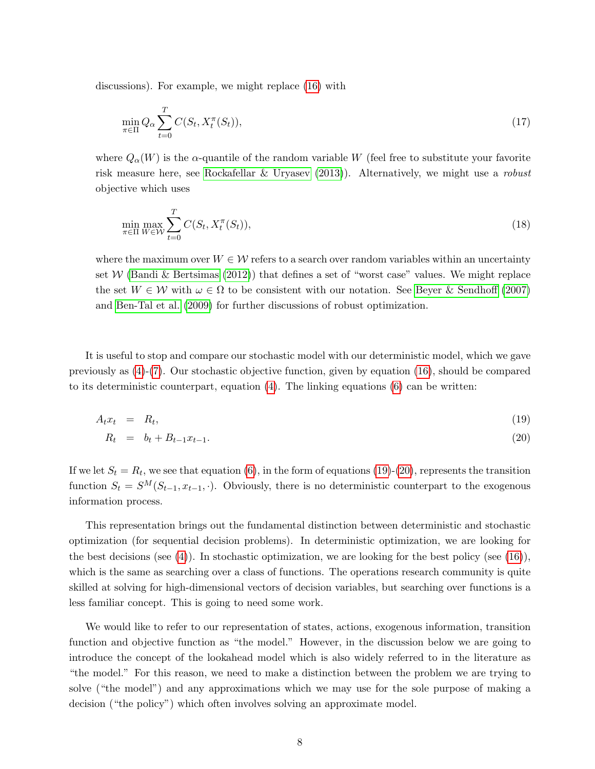<span id="page-10-3"></span>discussions). For example, we might replace [\(16\)](#page-9-0) with

<span id="page-10-1"></span>
$$
\min_{\pi \in \Pi} Q_{\alpha} \sum_{t=0}^{T} C(S_t, X_t^{\pi}(S_t)),\tag{17}
$$

where  $Q_{\alpha}(W)$  is the  $\alpha$ -quantile of the random variable W (feel free to substitute your favorite risk measure here, see [Rockafellar & Uryasev](#page-38-6) [\(2013\)](#page-38-6)). Alternatively, we might use a robust objective which uses

<span id="page-10-2"></span>
$$
\min_{\pi \in \Pi} \max_{W \in \mathcal{W}} \sum_{t=0}^{T} C(S_t, X_t^{\pi}(S_t)),
$$
\n(18)

where the maximum over  $W \in \mathcal{W}$  refers to a search over random variables within an uncertainty set W [\(Bandi & Bertsimas](#page-35-1) [\(2012\)](#page-35-1)) that defines a set of "worst case" values. We might replace the set  $W \in \mathcal{W}$  with  $\omega \in \Omega$  to be consistent with our notation. See [Beyer & Sendhoff](#page-36-3) [\(2007\)](#page-36-3) and [Ben-Tal et al.](#page-36-4) [\(2009\)](#page-36-4) for further discussions of robust optimization.

It is useful to stop and compare our stochastic model with our deterministic model, which we gave previously as [\(4\)](#page-3-3)-[\(7\)](#page-3-4). Our stochastic objective function, given by equation [\(16\)](#page-9-0), should be compared to its deterministic counterpart, equation [\(4\)](#page-3-3). The linking equations [\(6\)](#page-3-4) can be written:

<span id="page-10-0"></span>
$$
A_t x_t = R_t, \tag{19}
$$

$$
R_t = b_t + B_{t-1}x_{t-1}.
$$
\n(20)

If we let  $S_t = R_t$ , we see that equation [\(6\)](#page-3-4), in the form of equations [\(19\)](#page-10-0)-[\(20\)](#page-10-0), represents the transition function  $S_t = S^M(S_{t-1}, x_{t-1}, \cdot)$ . Obviously, there is no deterministic counterpart to the exogenous information process.

This representation brings out the fundamental distinction between deterministic and stochastic optimization (for sequential decision problems). In deterministic optimization, we are looking for the best decisions (see  $(4)$ ). In stochastic optimization, we are looking for the best policy (see  $(16)$ ), which is the same as searching over a class of functions. The operations research community is quite skilled at solving for high-dimensional vectors of decision variables, but searching over functions is a less familiar concept. This is going to need some work.

We would like to refer to our representation of states, actions, exogenous information, transition function and objective function as "the model." However, in the discussion below we are going to introduce the concept of the lookahead model which is also widely referred to in the literature as "the model." For this reason, we need to make a distinction between the problem we are trying to solve ("the model") and any approximations which we may use for the sole purpose of making a decision ("the policy") which often involves solving an approximate model.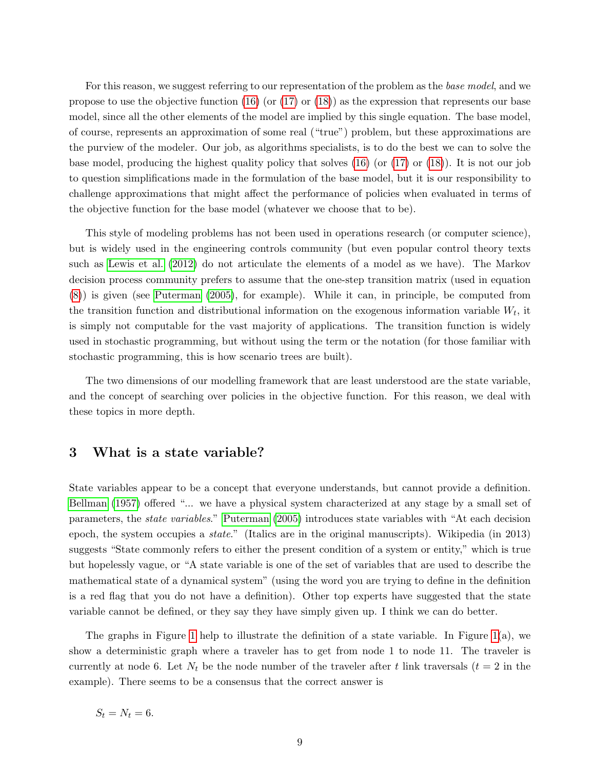<span id="page-11-1"></span>For this reason, we suggest referring to our representation of the problem as the base model, and we propose to use the objective function  $(16)$  (or  $(17)$  or  $(18)$ ) as the expression that represents our base model, since all the other elements of the model are implied by this single equation. The base model, of course, represents an approximation of some real ("true") problem, but these approximations are the purview of the modeler. Our job, as algorithms specialists, is to do the best we can to solve the base model, producing the highest quality policy that solves [\(16\)](#page-9-0) (or [\(17\)](#page-10-1) or [\(18\)](#page-10-2)). It is not our job to question simplifications made in the formulation of the base model, but it is our responsibility to challenge approximations that might affect the performance of policies when evaluated in terms of the objective function for the base model (whatever we choose that to be).

This style of modeling problems has not been used in operations research (or computer science), but is widely used in the engineering controls community (but even popular control theory texts such as [Lewis et al.](#page-37-1) [\(2012\)](#page-37-1) do not articulate the elements of a model as we have). The Markov decision process community prefers to assume that the one-step transition matrix (used in equation [\(8\)](#page-6-4)) is given (see [Puterman](#page-38-3) [\(2005\)](#page-38-3), for example). While it can, in principle, be computed from the transition function and distributional information on the exogenous information variable  $W_t$ , it is simply not computable for the vast majority of applications. The transition function is widely used in stochastic programming, but without using the term or the notation (for those familiar with stochastic programming, this is how scenario trees are built).

The two dimensions of our modelling framework that are least understood are the state variable, and the concept of searching over policies in the objective function. For this reason, we deal with these topics in more depth.

### <span id="page-11-0"></span>3 What is a state variable?

State variables appear to be a concept that everyone understands, but cannot provide a definition. [Bellman](#page-36-2) [\(1957\)](#page-36-2) offered "... we have a physical system characterized at any stage by a small set of parameters, the state variables." [Puterman](#page-38-3) [\(2005\)](#page-38-3) introduces state variables with "At each decision epoch, the system occupies a state." (Italics are in the original manuscripts). Wikipedia (in 2013) suggests "State commonly refers to either the present condition of a system or entity," which is true but hopelessly vague, or "A state variable is one of the set of variables that are used to describe the mathematical state of a dynamical system" (using the word you are trying to define in the definition is a red flag that you do not have a definition). Other top experts have suggested that the state variable cannot be defined, or they say they have simply given up. I think we can do better.

The graphs in Figure [1](#page-12-0) help to illustrate the definition of a state variable. In Figure [1\(](#page-12-0)a), we show a deterministic graph where a traveler has to get from node 1 to node 11. The traveler is currently at node 6. Let  $N_t$  be the node number of the traveler after t link traversals  $(t = 2$  in the example). There seems to be a consensus that the correct answer is

 $S_t = N_t = 6.$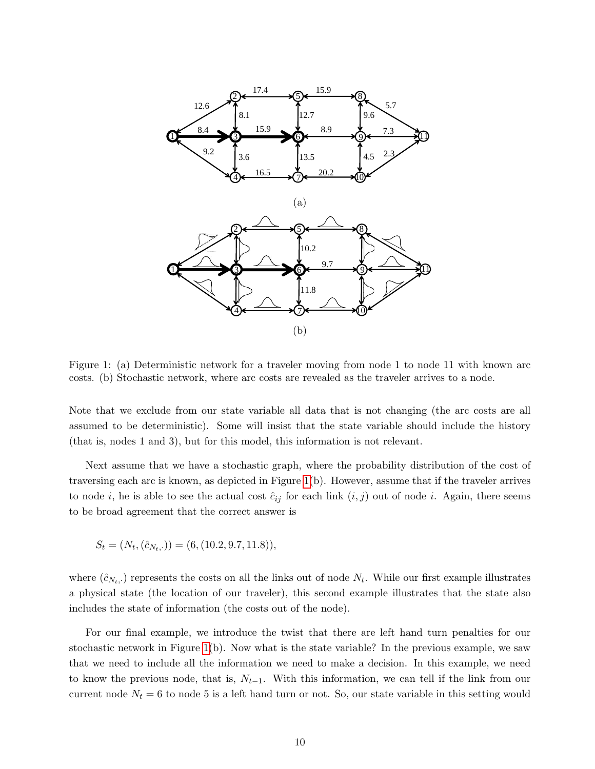

<span id="page-12-0"></span>Figure 1: (a) Deterministic network for a traveler moving from node 1 to node 11 with known arc costs. (b) Stochastic network, where arc costs are revealed as the traveler arrives to a node.

Note that we exclude from our state variable all data that is not changing (the arc costs are all assumed to be deterministic). Some will insist that the state variable should include the history (that is, nodes 1 and 3), but for this model, this information is not relevant.

Next assume that we have a stochastic graph, where the probability distribution of the cost of traversing each arc is known, as depicted in Figure [1\(](#page-12-0)b). However, assume that if the traveler arrives to node i, he is able to see the actual cost  $\hat{c}_{ij}$  for each link  $(i, j)$  out of node i. Again, there seems to be broad agreement that the correct answer is

$$
S_t = (N_t, (\hat{c}_{N_t, .})) = (6, (10.2, 9.7, 11.8)),
$$

where  $(\hat{c}_{N_t, \cdot})$  represents the costs on all the links out of node  $N_t$ . While our first example illustrates a physical state (the location of our traveler), this second example illustrates that the state also includes the state of information (the costs out of the node).

For our final example, we introduce the twist that there are left hand turn penalties for our stochastic network in Figure [1\(](#page-12-0)b). Now what is the state variable? In the previous example, we saw that we need to include all the information we need to make a decision. In this example, we need to know the previous node, that is,  $N_{t-1}$ . With this information, we can tell if the link from our current node  $N_t = 6$  to node 5 is a left hand turn or not. So, our state variable in this setting would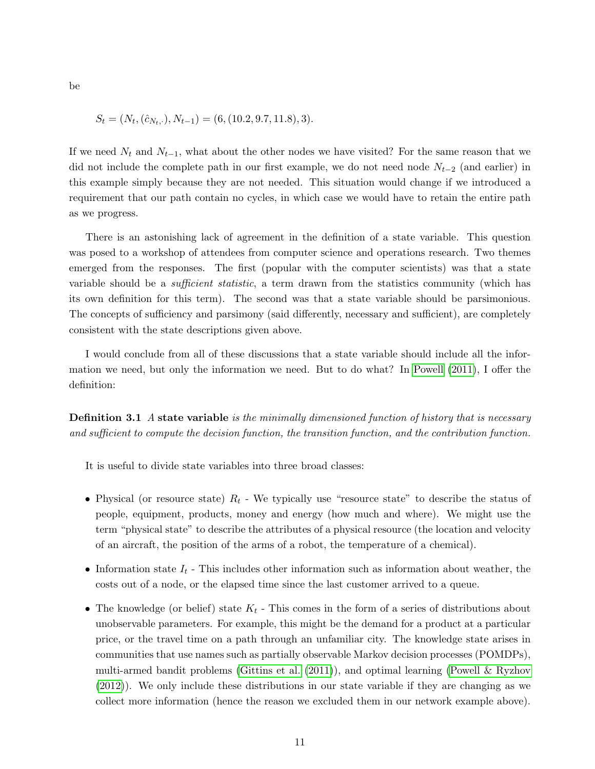<span id="page-13-0"></span>be

$$
S_t = (N_t, (\hat{c}_{N_t, \cdot}), N_{t-1}) = (6, (10.2, 9.7, 11.8), 3).
$$

If we need  $N_t$  and  $N_{t-1}$ , what about the other nodes we have visited? For the same reason that we did not include the complete path in our first example, we do not need node  $N_{t-2}$  (and earlier) in this example simply because they are not needed. This situation would change if we introduced a requirement that our path contain no cycles, in which case we would have to retain the entire path as we progress.

There is an astonishing lack of agreement in the definition of a state variable. This question was posed to a workshop of attendees from computer science and operations research. Two themes emerged from the responses. The first (popular with the computer scientists) was that a state variable should be a *sufficient statistic*, a term drawn from the statistics community (which has its own definition for this term). The second was that a state variable should be parsimonious. The concepts of sufficiency and parsimony (said differently, necessary and sufficient), are completely consistent with the state descriptions given above.

I would conclude from all of these discussions that a state variable should include all the information we need, but only the information we need. But to do what? In [Powell](#page-37-0) [\(2011\)](#page-37-0), I offer the definition:

**Definition 3.1** A state variable is the minimally dimensioned function of history that is necessary and sufficient to compute the decision function, the transition function, and the contribution function.

It is useful to divide state variables into three broad classes:

- Physical (or resource state)  $R_t$  We typically use "resource state" to describe the status of people, equipment, products, money and energy (how much and where). We might use the term "physical state" to describe the attributes of a physical resource (the location and velocity of an aircraft, the position of the arms of a robot, the temperature of a chemical).
- Information state  $I_t$  This includes other information such as information about weather, the costs out of a node, or the elapsed time since the last customer arrived to a queue.
- The knowledge (or belief) state  $K_t$  This comes in the form of a series of distributions about unobservable parameters. For example, this might be the demand for a product at a particular price, or the travel time on a path through an unfamiliar city. The knowledge state arises in communities that use names such as partially observable Markov decision processes (POMDPs), multi-armed bandit problems [\(Gittins et al.](#page-36-5) [\(2011\)](#page-36-5)), and optimal learning [\(Powell & Ryzhov](#page-37-2) [\(2012\)](#page-37-2)). We only include these distributions in our state variable if they are changing as we collect more information (hence the reason we excluded them in our network example above).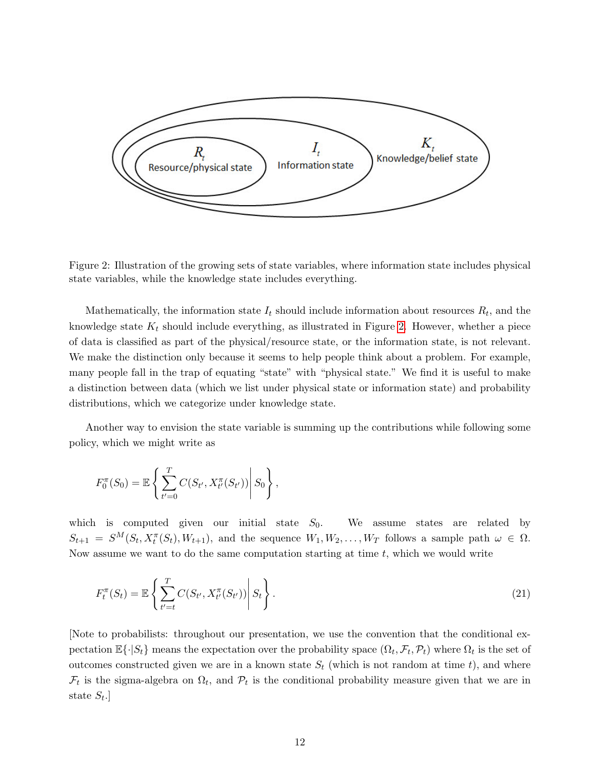

<span id="page-14-0"></span>Figure 2: Illustration of the growing sets of state variables, where information state includes physical state variables, while the knowledge state includes everything.

Mathematically, the information state  $I_t$  should include information about resources  $R_t$ , and the knowledge state  $K_t$  should include everything, as illustrated in Figure [2.](#page-14-0) However, whether a piece of data is classified as part of the physical/resource state, or the information state, is not relevant. We make the distinction only because it seems to help people think about a problem. For example, many people fall in the trap of equating "state" with "physical state." We find it is useful to make a distinction between data (which we list under physical state or information state) and probability distributions, which we categorize under knowledge state.

Another way to envision the state variable is summing up the contributions while following some policy, which we might write as

$$
F_0^{\pi}(S_0) = \mathbb{E}\left\{\left.\sum_{t'=0}^T C(S_{t'}, X_{t'}^{\pi}(S_{t'}))\right| S_0\right\},\right\}
$$

which is computed given our initial state  $S_0$ . We assume states are related by  $S_{t+1} = S^M(S_t, X_t^{\pi}(S_t), W_{t+1}),$  and the sequence  $W_1, W_2, \ldots, W_T$  follows a sample path  $\omega \in \Omega$ . Now assume we want to do the same computation starting at time  $t$ , which we would write

$$
F_t^{\pi}(S_t) = \mathbb{E}\left\{\sum_{t'=t}^T C(S_{t'}, X_{t'}^{\pi}(S_{t'})) \middle| S_t\right\}.
$$
\n(21)

[Note to probabilists: throughout our presentation, we use the convention that the conditional expectation  $\mathbb{E}\{\cdot|S_t\}$  means the expectation over the probability space  $(\Omega_t, \mathcal{F}_t, \mathcal{P}_t)$  where  $\Omega_t$  is the set of outcomes constructed given we are in a known state  $S_t$  (which is not random at time t), and where  $\mathcal{F}_t$  is the sigma-algebra on  $\Omega_t$ , and  $\mathcal{P}_t$  is the conditional probability measure given that we are in state  $S_t$ .]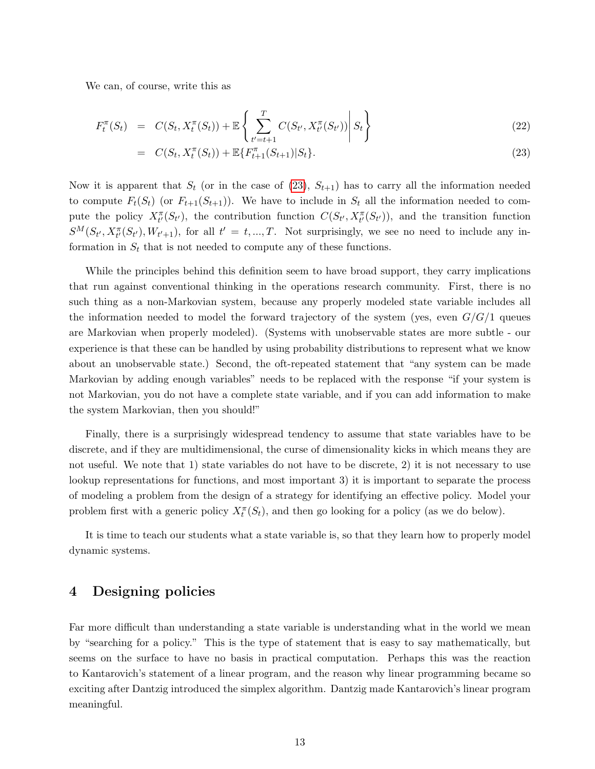We can, of course, write this as

<span id="page-15-1"></span>
$$
F_t^{\pi}(S_t) = C(S_t, X_t^{\pi}(S_t)) + \mathbb{E}\left\{\sum_{t'=t+1}^T C(S_{t'}, X_{t'}^{\pi}(S_{t'})) \middle| S_t\right\}
$$
\n(22)

$$
= C(S_t, X_t^{\pi}(S_t)) + \mathbb{E}\{F_{t+1}^{\pi}(S_{t+1})|S_t\}.
$$
\n(23)

Now it is apparent that  $S_t$  (or in the case of [\(23\)](#page-15-1),  $S_{t+1}$ ) has to carry all the information needed to compute  $F_t(S_t)$  (or  $F_{t+1}(S_{t+1})$ ). We have to include in  $S_t$  all the information needed to compute the policy  $X^{\pi}_{t'}(S_{t'})$ , the contribution function  $C(S_{t'}, X^{\pi}_{t'}(S_{t'}))$ , and the transition function  $S^M(S_{t'}, X_{t'}^{\pi}(S_{t'}), W_{t'+1}),$  for all  $t' = t, ..., T$ . Not surprisingly, we see no need to include any information in  $S_t$  that is not needed to compute any of these functions.

While the principles behind this definition seem to have broad support, they carry implications that run against conventional thinking in the operations research community. First, there is no such thing as a non-Markovian system, because any properly modeled state variable includes all the information needed to model the forward trajectory of the system (yes, even  $G/G/1$  queues are Markovian when properly modeled). (Systems with unobservable states are more subtle - our experience is that these can be handled by using probability distributions to represent what we know about an unobservable state.) Second, the oft-repeated statement that "any system can be made Markovian by adding enough variables" needs to be replaced with the response "if your system is not Markovian, you do not have a complete state variable, and if you can add information to make the system Markovian, then you should!"

Finally, there is a surprisingly widespread tendency to assume that state variables have to be discrete, and if they are multidimensional, the curse of dimensionality kicks in which means they are not useful. We note that 1) state variables do not have to be discrete, 2) it is not necessary to use lookup representations for functions, and most important 3) it is important to separate the process of modeling a problem from the design of a strategy for identifying an effective policy. Model your problem first with a generic policy  $X_t^{\pi}(S_t)$ , and then go looking for a policy (as we do below).

It is time to teach our students what a state variable is, so that they learn how to properly model dynamic systems.

## <span id="page-15-0"></span>4 Designing policies

Far more difficult than understanding a state variable is understanding what in the world we mean by "searching for a policy." This is the type of statement that is easy to say mathematically, but seems on the surface to have no basis in practical computation. Perhaps this was the reaction to Kantarovich's statement of a linear program, and the reason why linear programming became so exciting after Dantzig introduced the simplex algorithm. Dantzig made Kantarovich's linear program meaningful.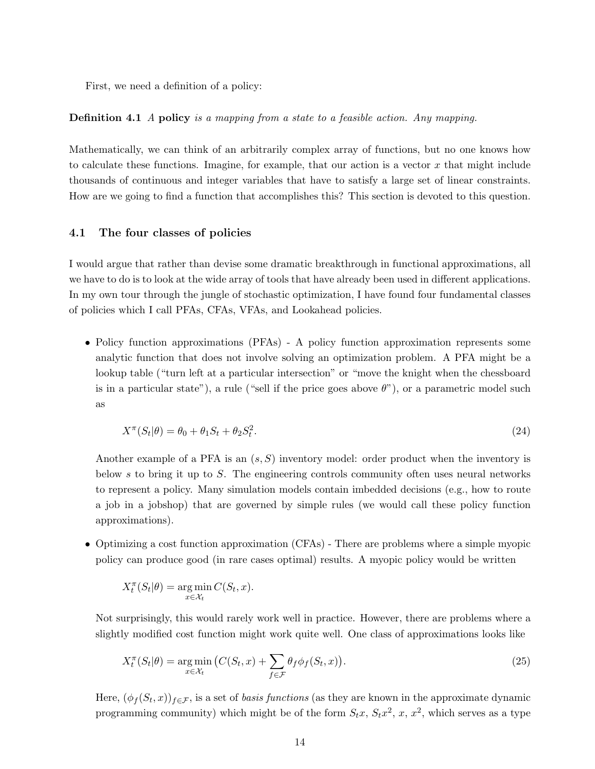First, we need a definition of a policy:

#### **Definition 4.1** A policy is a mapping from a state to a feasible action. Any mapping.

Mathematically, we can think of an arbitrarily complex array of functions, but no one knows how to calculate these functions. Imagine, for example, that our action is a vector  $x$  that might include thousands of continuous and integer variables that have to satisfy a large set of linear constraints. How are we going to find a function that accomplishes this? This section is devoted to this question.

#### <span id="page-16-0"></span>4.1 The four classes of policies

I would argue that rather than devise some dramatic breakthrough in functional approximations, all we have to do is to look at the wide array of tools that have already been used in different applications. In my own tour through the jungle of stochastic optimization, I have found four fundamental classes of policies which I call PFAs, CFAs, VFAs, and Lookahead policies.

• Policy function approximations (PFAs) - A policy function approximation represents some analytic function that does not involve solving an optimization problem. A PFA might be a lookup table ("turn left at a particular intersection" or "move the knight when the chessboard is in a particular state"), a rule ("sell if the price goes above  $\theta$ "), or a parametric model such as

$$
X^{\pi}(S_t|\theta) = \theta_0 + \theta_1 S_t + \theta_2 S_t^2.
$$
\n(24)

Another example of a PFA is an  $(s, S)$  inventory model: order product when the inventory is below s to bring it up to S. The engineering controls community often uses neural networks to represent a policy. Many simulation models contain imbedded decisions (e.g., how to route a job in a jobshop) that are governed by simple rules (we would call these policy function approximations).

• Optimizing a cost function approximation (CFAs) - There are problems where a simple myopic policy can produce good (in rare cases optimal) results. A myopic policy would be written

$$
X_t^{\pi}(S_t|\theta) = \underset{x \in \mathcal{X}_t}{\arg \min} C(S_t, x).
$$

Not surprisingly, this would rarely work well in practice. However, there are problems where a slightly modified cost function might work quite well. One class of approximations looks like

<span id="page-16-1"></span>
$$
X_t^{\pi}(S_t|\theta) = \underset{x \in \mathcal{X}_t}{\arg \min} \left( C(S_t, x) + \sum_{f \in \mathcal{F}} \theta_f \phi_f(S_t, x) \right). \tag{25}
$$

Here,  $(\phi_f(S_t, x))_{f \in \mathcal{F}}$ , is a set of *basis functions* (as they are known in the approximate dynamic programming community) which might be of the form  $S_t x$ ,  $S_t x^2$ ,  $x$ ,  $x^2$ , which serves as a type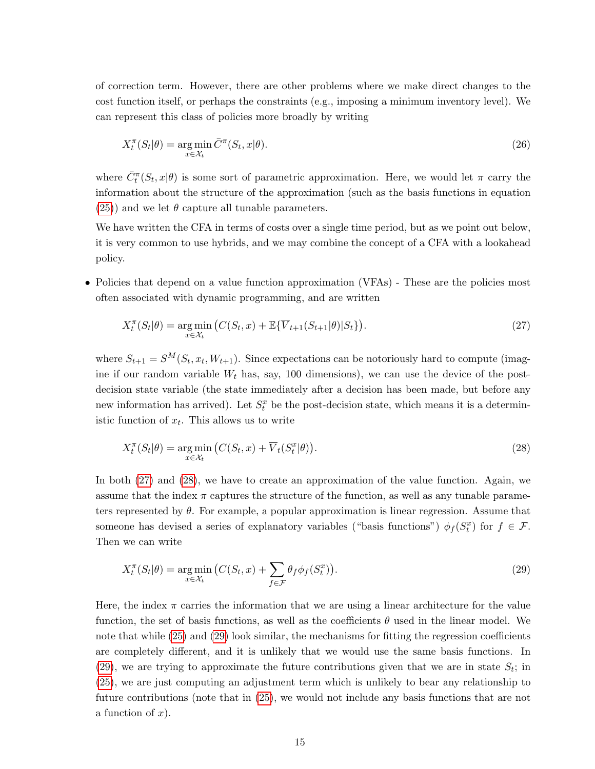of correction term. However, there are other problems where we make direct changes to the cost function itself, or perhaps the constraints (e.g., imposing a minimum inventory level). We can represent this class of policies more broadly by writing

$$
X_t^{\pi}(S_t|\theta) = \underset{x \in \mathcal{X}_t}{\arg \min} \bar{C}^{\pi}(S_t, x|\theta). \tag{26}
$$

where  $\bar{C}_t^{\pi}(S_t, x | \theta)$  is some sort of parametric approximation. Here, we would let  $\pi$  carry the information about the structure of the approximation (such as the basis functions in equation  $(25)$ ) and we let  $\theta$  capture all tunable parameters.

We have written the CFA in terms of costs over a single time period, but as we point out below, it is very common to use hybrids, and we may combine the concept of a CFA with a lookahead policy.

• Policies that depend on a value function approximation (VFAs) - These are the policies most often associated with dynamic programming, and are written

<span id="page-17-0"></span>
$$
X_t^{\pi}(S_t|\theta) = \underset{x \in \mathcal{X}_t}{\arg \min} \left( C(S_t, x) + \mathbb{E}\{\overline{V}_{t+1}(S_{t+1}|\theta)|S_t\} \right). \tag{27}
$$

where  $S_{t+1} = S^M(S_t, x_t, W_{t+1})$ . Since expectations can be notoriously hard to compute (imagine if our random variable  $W_t$  has, say, 100 dimensions), we can use the device of the postdecision state variable (the state immediately after a decision has been made, but before any new information has arrived). Let  $S_t^x$  be the post-decision state, which means it is a deterministic function of  $x_t$ . This allows us to write

<span id="page-17-1"></span>
$$
X_t^{\pi}(S_t|\theta) = \underset{x \in \mathcal{X}_t}{\arg \min} \left( C(S_t, x) + \overline{V}_t(S_t^x|\theta) \right). \tag{28}
$$

In both [\(27\)](#page-17-0) and [\(28\)](#page-17-1), we have to create an approximation of the value function. Again, we assume that the index  $\pi$  captures the structure of the function, as well as any tunable parameters represented by  $\theta$ . For example, a popular approximation is linear regression. Assume that someone has devised a series of explanatory variables ("basis functions")  $\phi_f(S_t^x)$  for  $f \in \mathcal{F}$ . Then we can write

<span id="page-17-2"></span>
$$
X_t^{\pi}(S_t|\theta) = \underset{x \in \mathcal{X}_t}{\arg \min} \left( C(S_t, x) + \sum_{f \in \mathcal{F}} \theta_f \phi_f(S_t^x) \right). \tag{29}
$$

Here, the index  $\pi$  carries the information that we are using a linear architecture for the value function, the set of basis functions, as well as the coefficients  $\theta$  used in the linear model. We note that while [\(25\)](#page-16-1) and [\(29\)](#page-17-2) look similar, the mechanisms for fitting the regression coefficients are completely different, and it is unlikely that we would use the same basis functions. In [\(29\)](#page-17-2), we are trying to approximate the future contributions given that we are in state  $S_t$ ; in [\(25\)](#page-16-1), we are just computing an adjustment term which is unlikely to bear any relationship to future contributions (note that in [\(25\)](#page-16-1), we would not include any basis functions that are not a function of  $x$ ).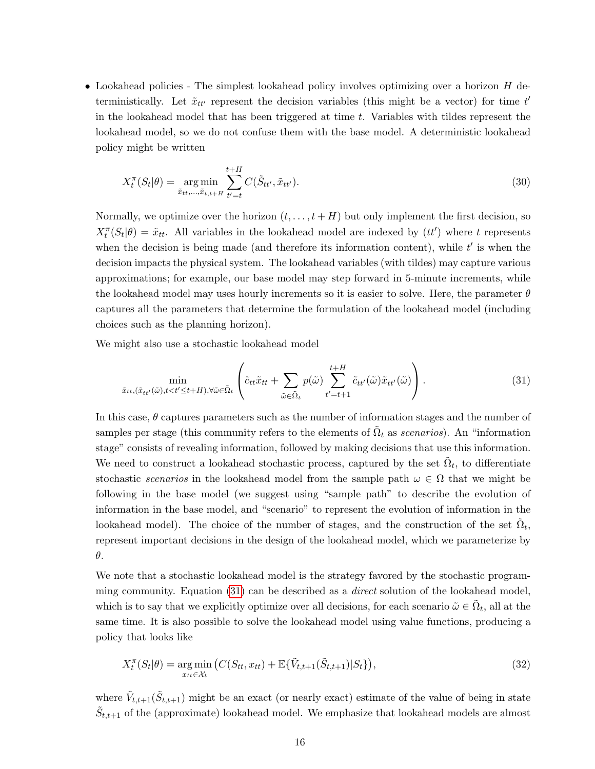• Lookahead policies - The simplest lookahead policy involves optimizing over a horizon  $H$  deterministically. Let  $\tilde{x}_{tt'}$  represent the decision variables (this might be a vector) for time  $t'$ in the lookahead model that has been triggered at time  $t$ . Variables with tildes represent the lookahead model, so we do not confuse them with the base model. A deterministic lookahead policy might be written

$$
X_t^{\pi}(S_t|\theta) = \underset{\tilde{x}_{tt},..., \tilde{x}_{t,t+H}}{\arg \min} \sum_{t'=t}^{t+H} C(\tilde{S}_{tt'}, \tilde{x}_{tt'}). \tag{30}
$$

Normally, we optimize over the horizon  $(t, \ldots, t + H)$  but only implement the first decision, so  $X_t^{\pi}(S_t|\theta) = \tilde{x}_{tt}$ . All variables in the lookahead model are indexed by  $(tt')$  where t represents when the decision is being made (and therefore its information content), while  $t'$  is when the decision impacts the physical system. The lookahead variables (with tildes) may capture various approximations; for example, our base model may step forward in 5-minute increments, while the lookahead model may use hourly increments so it is easier to solve. Here, the parameter  $\theta$ captures all the parameters that determine the formulation of the lookahead model (including choices such as the planning horizon).

We might also use a stochastic lookahead model

<span id="page-18-0"></span>
$$
\min_{\tilde{x}_{tt},(\tilde{x}_{tt'}(\tilde{\omega}),t\n(31)
$$

In this case,  $\theta$  captures parameters such as the number of information stages and the number of samples per stage (this community refers to the elements of  $\tilde{\Omega}_t$  as scenarios). An "information stage" consists of revealing information, followed by making decisions that use this information. We need to construct a lookahead stochastic process, captured by the set  $\tilde{\Omega}_t$ , to differentiate stochastic *scenarios* in the lookahead model from the sample path  $\omega \in \Omega$  that we might be following in the base model (we suggest using "sample path" to describe the evolution of information in the base model, and "scenario" to represent the evolution of information in the lookahead model). The choice of the number of stages, and the construction of the set  $\tilde{\Omega}_t$ , represent important decisions in the design of the lookahead model, which we parameterize by θ.

We note that a stochastic lookahead model is the strategy favored by the stochastic programming community. Equation [\(31\)](#page-18-0) can be described as a direct solution of the lookahead model, which is to say that we explicitly optimize over all decisions, for each scenario  $\tilde{\omega} \in \tilde{\Omega}_t$ , all at the same time. It is also possible to solve the lookahead model using value functions, producing a policy that looks like

<span id="page-18-1"></span>
$$
X_t^{\pi}(S_t|\theta) = \underset{x_{tt} \in \mathcal{X}_t}{\arg \min} \left( C(S_{tt}, x_{tt}) + \mathbb{E}\{\tilde{V}_{t,t+1}(\tilde{S}_{t,t+1})|S_t\} \right),\tag{32}
$$

where  $\tilde{V}_{t,t+1}(\tilde{S}_{t,t+1})$  might be an exact (or nearly exact) estimate of the value of being in state  $\tilde{S}_{t,t+1}$  of the (approximate) lookahead model. We emphasize that lookahead models are almost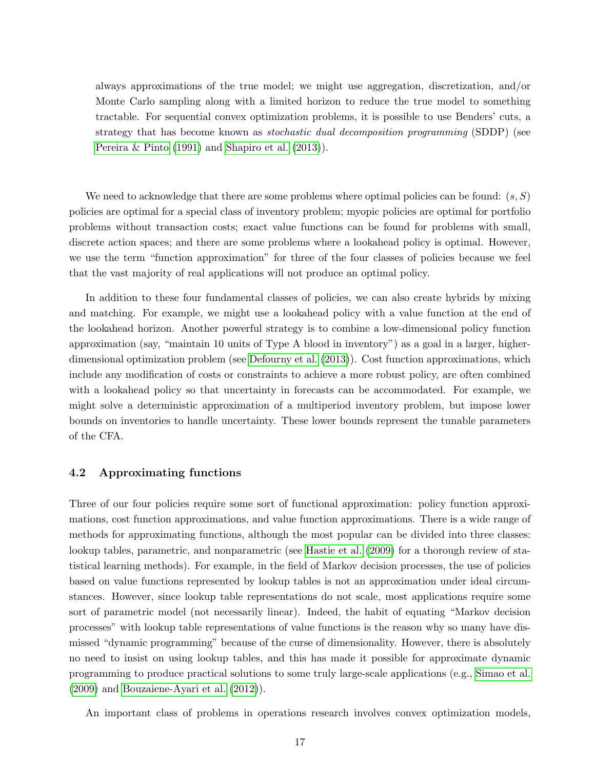<span id="page-19-1"></span>always approximations of the true model; we might use aggregation, discretization, and/or Monte Carlo sampling along with a limited horizon to reduce the true model to something tractable. For sequential convex optimization problems, it is possible to use Benders' cuts, a strategy that has become known as stochastic dual decomposition programming (SDDP) (see [Pereira & Pinto](#page-37-3) [\(1991\)](#page-37-3) and [Shapiro et al.](#page-38-7) [\(2013\)](#page-38-7)).

We need to acknowledge that there are some problems where optimal policies can be found:  $(s, S)$ policies are optimal for a special class of inventory problem; myopic policies are optimal for portfolio problems without transaction costs; exact value functions can be found for problems with small, discrete action spaces; and there are some problems where a lookahead policy is optimal. However, we use the term "function approximation" for three of the four classes of policies because we feel that the vast majority of real applications will not produce an optimal policy.

In addition to these four fundamental classes of policies, we can also create hybrids by mixing and matching. For example, we might use a lookahead policy with a value function at the end of the lookahead horizon. Another powerful strategy is to combine a low-dimensional policy function approximation (say, "maintain 10 units of Type A blood in inventory") as a goal in a larger, higherdimensional optimization problem (see [Defourny et al.](#page-36-6) [\(2013\)](#page-36-6)). Cost function approximations, which include any modification of costs or constraints to achieve a more robust policy, are often combined with a lookahead policy so that uncertainty in forecasts can be accommodated. For example, we might solve a deterministic approximation of a multiperiod inventory problem, but impose lower bounds on inventories to handle uncertainty. These lower bounds represent the tunable parameters of the CFA.

#### <span id="page-19-0"></span>4.2 Approximating functions

Three of our four policies require some sort of functional approximation: policy function approximations, cost function approximations, and value function approximations. There is a wide range of methods for approximating functions, although the most popular can be divided into three classes: lookup tables, parametric, and nonparametric (see [Hastie et al.](#page-36-7) [\(2009\)](#page-36-7) for a thorough review of statistical learning methods). For example, in the field of Markov decision processes, the use of policies based on value functions represented by lookup tables is not an approximation under ideal circumstances. However, since lookup table representations do not scale, most applications require some sort of parametric model (not necessarily linear). Indeed, the habit of equating "Markov decision processes" with lookup table representations of value functions is the reason why so many have dismissed "dynamic programming" because of the curse of dimensionality. However, there is absolutely no need to insist on using lookup tables, and this has made it possible for approximate dynamic programming to produce practical solutions to some truly large-scale applications (e.g., [Simao et al.](#page-38-1) [\(2009\)](#page-38-1) and [Bouzaiene-Ayari et al.](#page-36-1) [\(2012\)](#page-36-1)).

An important class of problems in operations research involves convex optimization models,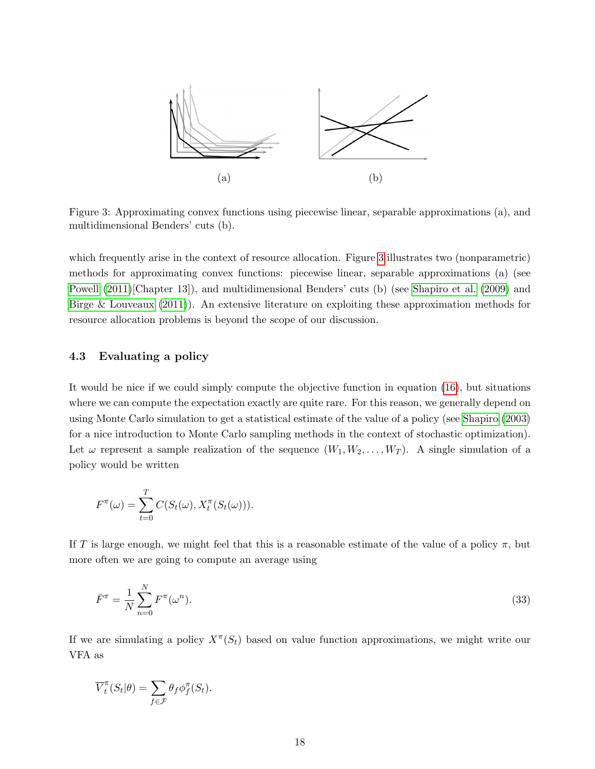<span id="page-20-2"></span>

<span id="page-20-1"></span>Figure 3: Approximating convex functions using piecewise linear, separable approximations (a), and multidimensional Benders' cuts (b).

which frequently arise in the context of resource allocation. Figure [3](#page-20-1) illustrates two (nonparametric) methods for approximating convex functions: piecewise linear, separable approximations (a) (see [Powell](#page-37-0) [\(2011\)](#page-37-0)[Chapter 13]), and multidimensional Benders' cuts (b) (see [Shapiro et al.](#page-38-4) [\(2009\)](#page-38-4) and [Birge & Louveaux](#page-36-8) [\(2011\)](#page-36-8)). An extensive literature on exploiting these approximation methods for resource allocation problems is beyond the scope of our discussion.

#### <span id="page-20-0"></span>4.3 Evaluating a policy

It would be nice if we could simply compute the objective function in equation [\(16\)](#page-9-0), but situations where we can compute the expectation exactly are quite rare. For this reason, we generally depend on using Monte Carlo simulation to get a statistical estimate of the value of a policy (see [Shapiro](#page-38-8) [\(2003\)](#page-38-8) for a nice introduction to Monte Carlo sampling methods in the context of stochastic optimization). Let  $\omega$  represent a sample realization of the sequence  $(W_1, W_2, \ldots, W_T)$ . A single simulation of a policy would be written

$$
F^{\pi}(\omega) = \sum_{t=0}^{T} C(S_t(\omega), X_t^{\pi}(S_t(\omega))).
$$

If T is large enough, we might feel that this is a reasonable estimate of the value of a policy  $\pi$ , but more often we are going to compute an average using

$$
\bar{F}^{\pi} = \frac{1}{N} \sum_{n=0}^{N} F^{\pi}(\omega^n). \tag{33}
$$

If we are simulating a policy  $X^{\pi}(S_t)$  based on value function approximations, we might write our VFA as

$$
\overline{V}_t^{\pi}(S_t|\theta) = \sum_{f \in \mathcal{F}} \theta_f \phi_f^{\pi}(S_t).
$$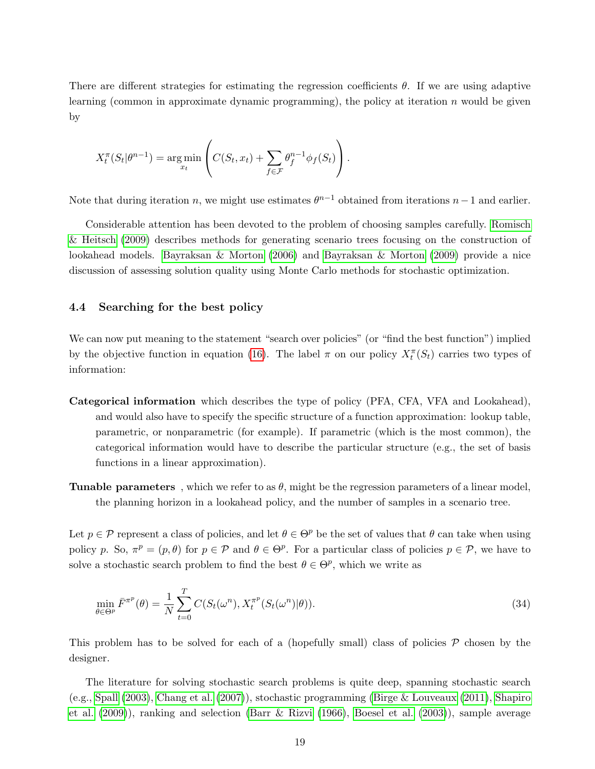<span id="page-21-2"></span>There are different strategies for estimating the regression coefficients  $\theta$ . If we are using adaptive learning (common in approximate dynamic programming), the policy at iteration  $n$  would be given by

$$
X_t^{\pi}(S_t|\theta^{n-1}) = \underset{x_t}{\arg\min} \left( C(S_t, x_t) + \sum_{f \in \mathcal{F}} \theta_f^{n-1} \phi_f(S_t) \right).
$$

Note that during iteration n, we might use estimates  $\theta^{n-1}$  obtained from iterations  $n-1$  and earlier.

Considerable attention has been devoted to the problem of choosing samples carefully. [Romisch](#page-38-9) [& Heitsch](#page-38-9) [\(2009\)](#page-38-9) describes methods for generating scenario trees focusing on the construction of lookahead models. [Bayraksan & Morton](#page-35-2) [\(2006\)](#page-35-2) and [Bayraksan & Morton](#page-36-9) [\(2009\)](#page-36-9) provide a nice discussion of assessing solution quality using Monte Carlo methods for stochastic optimization.

#### <span id="page-21-0"></span>4.4 Searching for the best policy

We can now put meaning to the statement "search over policies" (or "find the best function") implied by the objective function in equation [\(16\)](#page-9-0). The label  $\pi$  on our policy  $X_t^{\pi}(S_t)$  carries two types of information:

- Categorical information which describes the type of policy (PFA, CFA, VFA and Lookahead), and would also have to specify the specific structure of a function approximation: lookup table, parametric, or nonparametric (for example). If parametric (which is the most common), the categorical information would have to describe the particular structure (e.g., the set of basis functions in a linear approximation).
- **Tunable parameters**, which we refer to as  $\theta$ , might be the regression parameters of a linear model, the planning horizon in a lookahead policy, and the number of samples in a scenario tree.

Let  $p \in \mathcal{P}$  represent a class of policies, and let  $\theta \in \Theta^p$  be the set of values that  $\theta$  can take when using policy p. So,  $\pi^p = (p, \theta)$  for  $p \in \mathcal{P}$  and  $\theta \in \Theta^p$ . For a particular class of policies  $p \in \mathcal{P}$ , we have to solve a stochastic search problem to find the best  $\theta \in \Theta^p$ , which we write as

<span id="page-21-1"></span>
$$
\min_{\theta \in \Theta^p} \bar{F}^{\pi^p}(\theta) = \frac{1}{N} \sum_{t=0}^T C(S_t(\omega^n), X_t^{\pi^p}(S_t(\omega^n)|\theta)).
$$
\n(34)

This problem has to be solved for each of a (hopefully small) class of policies  $P$  chosen by the designer.

The literature for solving stochastic search problems is quite deep, spanning stochastic search (e.g., [Spall](#page-39-1) [\(2003\)](#page-39-1), [Chang et al.](#page-36-10) [\(2007\)](#page-36-10)), stochastic programming [\(Birge & Louveaux](#page-36-8) [\(2011\)](#page-36-8), [Shapiro](#page-38-4) [et al.](#page-38-4) [\(2009\)](#page-38-4)), ranking and selection [\(Barr & Rizvi](#page-35-3) [\(1966\)](#page-35-3), [Boesel et al.](#page-36-11) [\(2003\)](#page-36-11)), sample average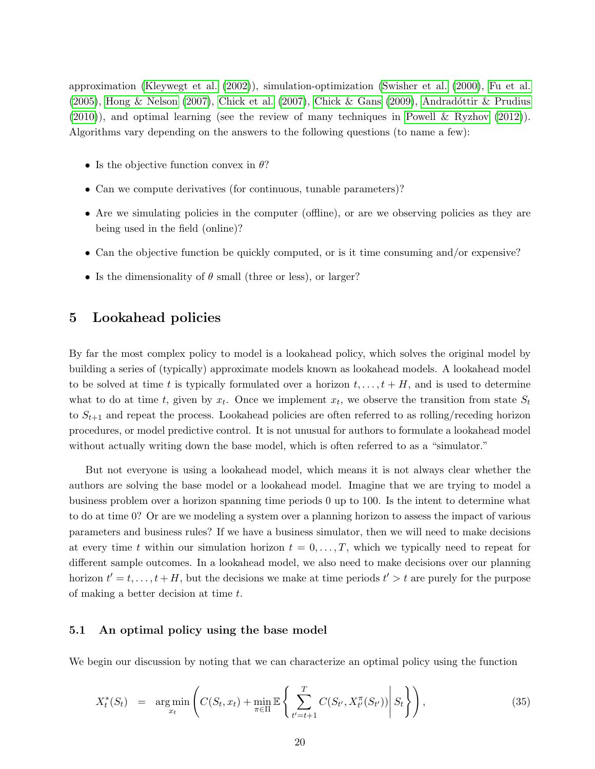<span id="page-22-3"></span>approximation [\(Kleywegt et al.](#page-37-4) [\(2002\)](#page-37-4)), simulation-optimization [\(Swisher et al.](#page-39-2) [\(2000\)](#page-39-2), [Fu et al.](#page-36-12)  $(2005)$ , [Hong & Nelson](#page-37-5)  $(2007)$ , [Chick et al.](#page-36-13)  $(2007)$ , [Chick & Gans](#page-36-14)  $(2009)$ , Andradóttir & Prudius [\(2010\)](#page-35-4)), and optimal learning (see the review of many techniques in [Powell & Ryzhov](#page-37-2) [\(2012\)](#page-37-2)). Algorithms vary depending on the answers to the following questions (to name a few):

- Is the objective function convex in  $\theta$ ?
- Can we compute derivatives (for continuous, tunable parameters)?
- Are we simulating policies in the computer (offline), or are we observing policies as they are being used in the field (online)?
- Can the objective function be quickly computed, or is it time consuming and/or expensive?
- Is the dimensionality of  $\theta$  small (three or less), or larger?

## <span id="page-22-0"></span>5 Lookahead policies

By far the most complex policy to model is a lookahead policy, which solves the original model by building a series of (typically) approximate models known as lookahead models. A lookahead model to be solved at time t is typically formulated over a horizon  $t, \ldots, t + H$ , and is used to determine what to do at time t, given by  $x_t$ . Once we implement  $x_t$ , we observe the transition from state  $S_t$ to  $S_{t+1}$  and repeat the process. Lookahead policies are often referred to as rolling/receding horizon procedures, or model predictive control. It is not unusual for authors to formulate a lookahead model without actually writing down the base model, which is often referred to as a "simulator."

But not everyone is using a lookahead model, which means it is not always clear whether the authors are solving the base model or a lookahead model. Imagine that we are trying to model a business problem over a horizon spanning time periods 0 up to 100. Is the intent to determine what to do at time 0? Or are we modeling a system over a planning horizon to assess the impact of various parameters and business rules? If we have a business simulator, then we will need to make decisions at every time t within our simulation horizon  $t = 0, \ldots, T$ , which we typically need to repeat for different sample outcomes. In a lookahead model, we also need to make decisions over our planning horizon  $t' = t, \ldots, t + H$ , but the decisions we make at time periods  $t' > t$  are purely for the purpose of making a better decision at time t.

#### <span id="page-22-1"></span>5.1 An optimal policy using the base model

We begin our discussion by noting that we can characterize an optimal policy using the function

<span id="page-22-2"></span>
$$
X_t^*(S_t) = \arg\min_{x_t} \left( C(S_t, x_t) + \min_{\pi \in \Pi} \mathbb{E} \left\{ \sum_{t'=t+1}^T C(S_{t'}, X_{t'}^{\pi}(S_{t'})) \middle| S_t \right\} \right), \tag{35}
$$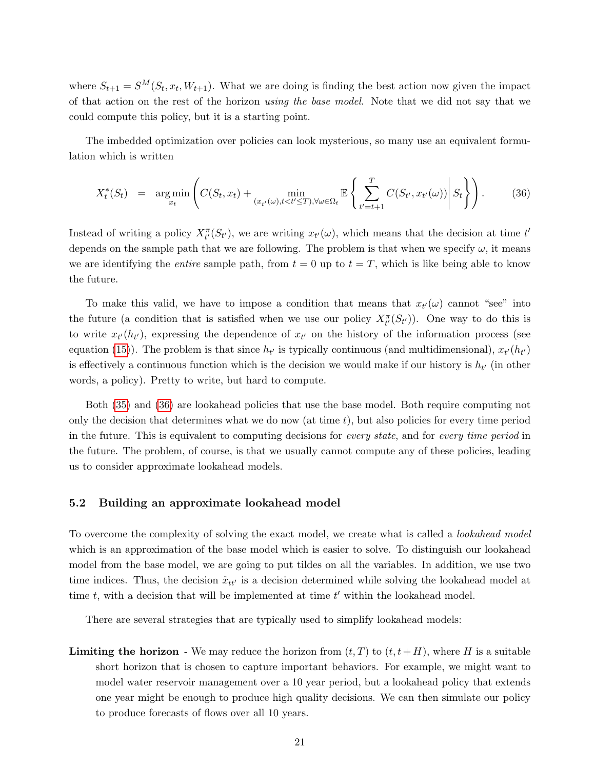where  $S_{t+1} = S^M(S_t, x_t, W_{t+1})$ . What we are doing is finding the best action now given the impact of that action on the rest of the horizon using the base model. Note that we did not say that we could compute this policy, but it is a starting point.

The imbedded optimization over policies can look mysterious, so many use an equivalent formulation which is written

<span id="page-23-1"></span>
$$
X_t^*(S_t) = \arg\min_{x_t} \left( C(S_t, x_t) + \min_{(x_{t'}(\omega), t < t' \le T), \forall \omega \in \Omega_t} \mathbb{E} \left\{ \sum_{t'=t+1}^T C(S_{t'}, x_{t'}(\omega)) \middle| S_t \right\} \right). \tag{36}
$$

Instead of writing a policy  $X_t^{\pi}(S_{t'})$ , we are writing  $x_{t'}(\omega)$ , which means that the decision at time  $t'$ depends on the sample path that we are following. The problem is that when we specify  $\omega$ , it means we are identifying the *entire* sample path, from  $t = 0$  up to  $t = T$ , which is like being able to know the future.

To make this valid, we have to impose a condition that means that  $x_{t'}(\omega)$  cannot "see" into the future (a condition that is satisfied when we use our policy  $X_t^{\pi}(S_{t'})$ ). One way to do this is to write  $x_{t'}(h_{t'})$ , expressing the dependence of  $x_{t'}$  on the history of the information process (see equation [\(15\)](#page-8-0)). The problem is that since  $h_{t'}$  is typically continuous (and multidimensional),  $x_{t'}(h_{t'})$ is effectively a continuous function which is the decision we would make if our history is  $h_{t'}$  (in other words, a policy). Pretty to write, but hard to compute.

Both [\(35\)](#page-22-2) and [\(36\)](#page-23-1) are lookahead policies that use the base model. Both require computing not only the decision that determines what we do now (at time  $t$ ), but also policies for every time period in the future. This is equivalent to computing decisions for every state, and for every time period in the future. The problem, of course, is that we usually cannot compute any of these policies, leading us to consider approximate lookahead models.

#### <span id="page-23-0"></span>5.2 Building an approximate lookahead model

To overcome the complexity of solving the exact model, we create what is called a *lookahead model* which is an approximation of the base model which is easier to solve. To distinguish our lookahead model from the base model, we are going to put tildes on all the variables. In addition, we use two time indices. Thus, the decision  $\tilde{x}_{tt'}$  is a decision determined while solving the lookahead model at time  $t$ , with a decision that will be implemented at time  $t'$  within the lookahead model.

There are several strategies that are typically used to simplify lookahead models:

**Limiting the horizon** - We may reduce the horizon from  $(t, T)$  to  $(t, t + H)$ , where H is a suitable short horizon that is chosen to capture important behaviors. For example, we might want to model water reservoir management over a 10 year period, but a lookahead policy that extends one year might be enough to produce high quality decisions. We can then simulate our policy to produce forecasts of flows over all 10 years.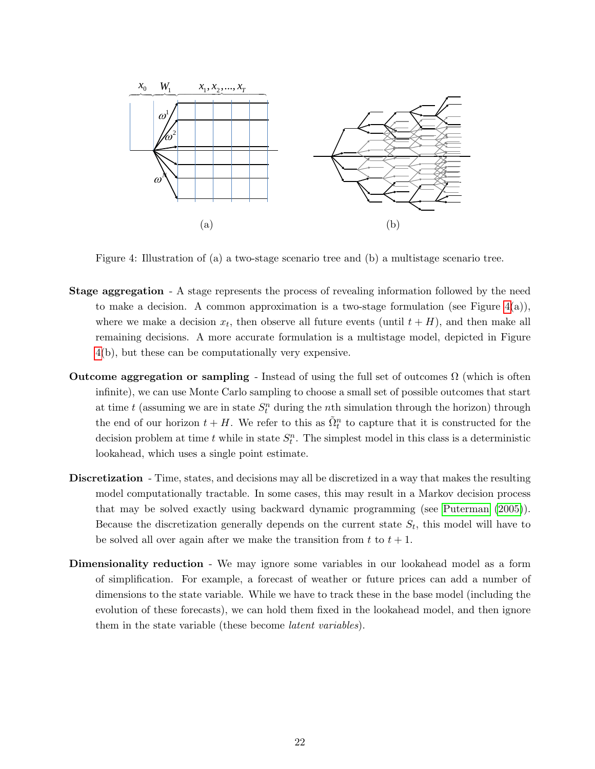<span id="page-24-1"></span>

<span id="page-24-0"></span>Figure 4: Illustration of (a) a two-stage scenario tree and (b) a multistage scenario tree.

- Stage aggregation A stage represents the process of revealing information followed by the need to make a decision. A common approximation is a two-stage formulation (see Figure  $4(a)$ ), where we make a decision  $x_t$ , then observe all future events (until  $t + H$ ), and then make all remaining decisions. A more accurate formulation is a multistage model, depicted in Figure [4\(](#page-24-0)b), but these can be computationally very expensive.
- Outcome aggregation or sampling Instead of using the full set of outcomes  $\Omega$  (which is often infinite), we can use Monte Carlo sampling to choose a small set of possible outcomes that start at time t (assuming we are in state  $S_t^n$  during the nth simulation through the horizon) through the end of our horizon  $t + H$ . We refer to this as  $\tilde{\Omega}_t^n$  to capture that it is constructed for the decision problem at time t while in state  $S_t^n$ . The simplest model in this class is a deterministic lookahead, which uses a single point estimate.
- Discretization Time, states, and decisions may all be discretized in a way that makes the resulting model computationally tractable. In some cases, this may result in a Markov decision process that may be solved exactly using backward dynamic programming (see [Puterman](#page-38-3) [\(2005\)](#page-38-3)). Because the discretization generally depends on the current state  $S_t$ , this model will have to be solved all over again after we make the transition from  $t$  to  $t + 1$ .
- Dimensionality reduction We may ignore some variables in our lookahead model as a form of simplification. For example, a forecast of weather or future prices can add a number of dimensions to the state variable. While we have to track these in the base model (including the evolution of these forecasts), we can hold them fixed in the lookahead model, and then ignore them in the state variable (these become latent variables).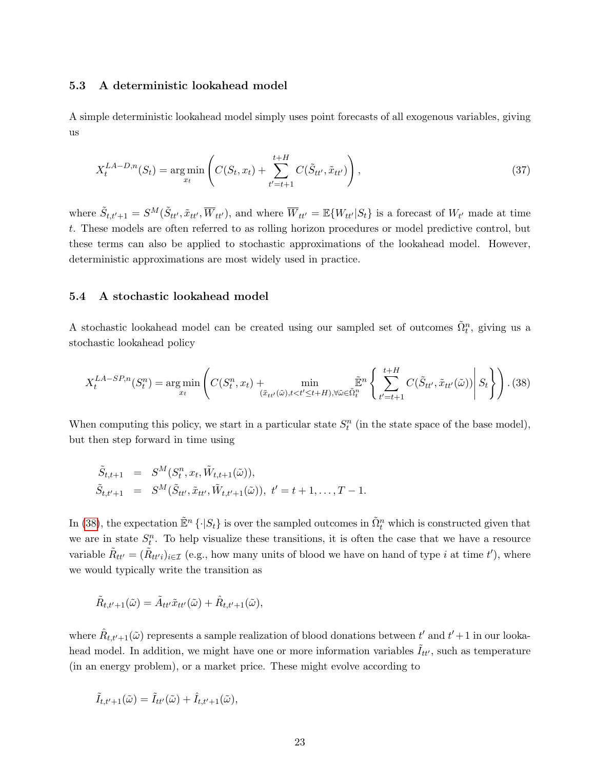#### <span id="page-25-0"></span>5.3 A deterministic lookahead model

A simple deterministic lookahead model simply uses point forecasts of all exogenous variables, giving us

$$
X_t^{LA-D,n}(S_t) = \underset{x_t}{\arg\min} \left( C(S_t, x_t) + \sum_{t'=t+1}^{t+H} C(\tilde{S}_{tt'}, \tilde{x}_{tt'}) \right), \tag{37}
$$

where  $\tilde{S}_{t,t'+1} = S^M(\tilde{S}_{tt'}, \tilde{x}_{tt'}, \overline{W}_{tt'})$ , and where  $\overline{W}_{tt'} = \mathbb{E}\{W_{tt'}|S_t\}$  is a forecast of  $W_{t'}$  made at time t. These models are often referred to as rolling horizon procedures or model predictive control, but these terms can also be applied to stochastic approximations of the lookahead model. However, deterministic approximations are most widely used in practice.

#### <span id="page-25-1"></span>5.4 A stochastic lookahead model

A stochastic lookahead model can be created using our sampled set of outcomes  $\tilde{\Omega}_t^n$ , giving us a stochastic lookahead policy

<span id="page-25-2"></span>
$$
X_t^{LA-SP,n}(S_t^n) = \underset{x_t}{\arg\min} \left( C(S_t^n, x_t) + \underset{(\tilde{x}_{tt'}(\tilde{\omega}), t < t' \le t + H), \forall \tilde{\omega} \in \tilde{\Omega}_t^n}{\min} \left\{ \sum_{t'=t+1}^{t+H} C(\tilde{S}_{tt'}, \tilde{x}_{tt'}(\tilde{\omega})) \middle| S_t \right\} \right). (38)
$$

When computing this policy, we start in a particular state  $S_t^n$  (in the state space of the base model), but then step forward in time using

$$
\tilde{S}_{t,t+1} = S^M(S_t^n, x_t, \tilde{W}_{t,t+1}(\tilde{\omega})), \n\tilde{S}_{t,t'+1} = S^M(\tilde{S}_{tt'}, \tilde{x}_{tt'}, \tilde{W}_{t,t'+1}(\tilde{\omega})), t' = t + 1, ..., T - 1.
$$

In [\(38\)](#page-25-2), the expectation  $\mathbb{E}^n \{\cdot | S_t\}$  is over the sampled outcomes in  $\tilde{\Omega}_t^n$  which is constructed given that we are in state  $S_t^n$ . To help visualize these transitions, it is often the case that we have a resource variable  $\tilde{R}_{tt'} = (\tilde{R}_{tt'}_{i})_{i \in \mathcal{I}}$  (e.g., how many units of blood we have on hand of type i at time t'), where we would typically write the transition as

$$
\tilde{R}_{t,t'+1}(\tilde{\omega}) = \tilde{A}_{tt'}\tilde{x}_{tt'}(\tilde{\omega}) + \hat{R}_{t,t'+1}(\tilde{\omega}),
$$

where  $\hat{R}_{t,t'+1}(\tilde{\omega})$  represents a sample realization of blood donations between  $t'$  and  $t'+1$  in our lookahead model. In addition, we might have one or more information variables  $I_{tt}$ , such as temperature (in an energy problem), or a market price. These might evolve according to

$$
\tilde{I}_{t,t'+1}(\tilde{\omega}) = \tilde{I}_{tt'}(\tilde{\omega}) + \hat{I}_{t,t'+1}(\tilde{\omega}),
$$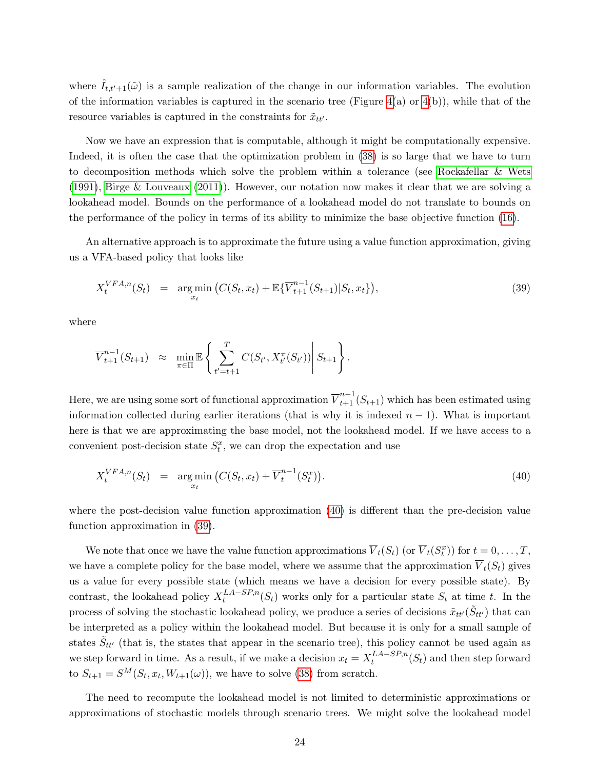<span id="page-26-2"></span>where  $\hat{I}_{t,t'+1}(\tilde{\omega})$  is a sample realization of the change in our information variables. The evolution of the information variables is captured in the scenario tree (Figure  $4(a)$  or  $4(b)$ ), while that of the resource variables is captured in the constraints for  $\tilde{x}_{tt'}$ .

Now we have an expression that is computable, although it might be computationally expensive. Indeed, it is often the case that the optimization problem in [\(38\)](#page-25-2) is so large that we have to turn to decomposition methods which solve the problem within a tolerance (see [Rockafellar & Wets](#page-38-10) [\(1991\)](#page-38-10), [Birge & Louveaux](#page-36-8) [\(2011\)](#page-36-8)). However, our notation now makes it clear that we are solving a lookahead model. Bounds on the performance of a lookahead model do not translate to bounds on the performance of the policy in terms of its ability to minimize the base objective function [\(16\)](#page-9-0).

An alternative approach is to approximate the future using a value function approximation, giving us a VFA-based policy that looks like

<span id="page-26-1"></span>
$$
X_t^{VFA,n}(S_t) = \underset{x_t}{\arg\min} \left( C(S_t, x_t) + \mathbb{E}\{\overline{V}_{t+1}^{n-1}(S_{t+1})|S_t, x_t\} \right),\tag{39}
$$

where

$$
\overline{V}_{t+1}^{n-1}(S_{t+1}) \approx \min_{\pi \in \Pi} \mathbb{E} \left\{ \sum_{t'=t+1}^{T} C(S_{t'}, X_{t'}^{\pi}(S_{t'})) \middle| S_{t+1} \right\}.
$$

Here, we are using some sort of functional approximation  $\overline{V}_{t+1}^{n-1}(S_{t+1})$  which has been estimated using information collected during earlier iterations (that is why it is indexed  $n-1$ ). What is important here is that we are approximating the base model, not the lookahead model. If we have access to a convenient post-decision state  $S_t^x$ , we can drop the expectation and use

<span id="page-26-0"></span>
$$
X_t^{VFA,n}(S_t) = \underset{x_t}{\arg\min} \left( C(S_t, x_t) + \overline{V}_t^{n-1}(S_t^x) \right). \tag{40}
$$

where the post-decision value function approximation [\(40\)](#page-26-0) is different than the pre-decision value function approximation in [\(39\)](#page-26-1).

We note that once we have the value function approximations  $\overline{V}_t(S_t)$  (or  $\overline{V}_t(S_t^x)$ ) for  $t = 0, \ldots, T$ , we have a complete policy for the base model, where we assume that the approximation  $\overline{V}_t(S_t)$  gives us a value for every possible state (which means we have a decision for every possible state). By contrast, the lookahead policy  $X_t^{LA-SP,n}$  $t_t^{LA-SP,n}(S_t)$  works only for a particular state  $S_t$  at time t. In the process of solving the stochastic lookahead policy, we produce a series of decisions  $\tilde{x}_{tt'}(\tilde{S}_{tt'})$  that can be interpreted as a policy within the lookahead model. But because it is only for a small sample of states  $\tilde{S}_{tt'}$  (that is, the states that appear in the scenario tree), this policy cannot be used again as we step forward in time. As a result, if we make a decision  $x_t = X_t^{LA-SP,n}$  $t_t^{LA-SP,n}(S_t)$  and then step forward to  $S_{t+1} = S^M(S_t, x_t, W_{t+1}(\omega))$ , we have to solve [\(38\)](#page-25-2) from scratch.

The need to recompute the lookahead model is not limited to deterministic approximations or approximations of stochastic models through scenario trees. We might solve the lookahead model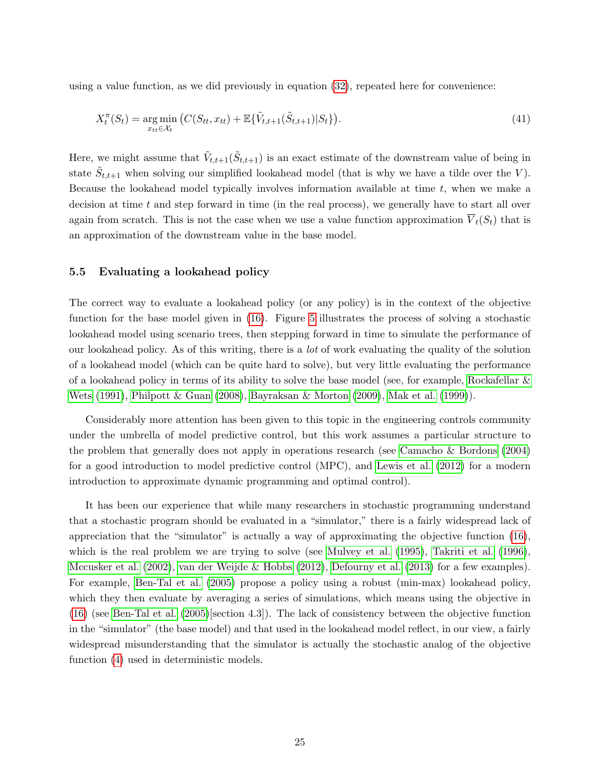<span id="page-27-1"></span>using a value function, as we did previously in equation [\(32\)](#page-18-1), repeated here for convenience:

$$
X_t^{\pi}(S_t) = \underset{x_{tt} \in \mathcal{X}_t}{\arg \min} \left( C(S_{tt}, x_{tt}) + \mathbb{E}\{\tilde{V}_{t,t+1}(\tilde{S}_{t,t+1}) | S_t\} \right). \tag{41}
$$

Here, we might assume that  $\tilde{V}_{t,t+1}(\tilde{S}_{t,t+1})$  is an exact estimate of the downstream value of being in state  $\tilde{S}_{t,t+1}$  when solving our simplified lookahead model (that is why we have a tilde over the V). Because the lookahead model typically involves information available at time  $t$ , when we make a decision at time t and step forward in time (in the real process), we generally have to start all over again from scratch. This is not the case when we use a value function approximation  $\overline{V}_t(S_t)$  that is an approximation of the downstream value in the base model.

#### <span id="page-27-0"></span>5.5 Evaluating a lookahead policy

The correct way to evaluate a lookahead policy (or any policy) is in the context of the objective function for the base model given in [\(16\)](#page-9-0). Figure [5](#page-28-1) illustrates the process of solving a stochastic lookahead model using scenario trees, then stepping forward in time to simulate the performance of our lookahead policy. As of this writing, there is a lot of work evaluating the quality of the solution of a lookahead model (which can be quite hard to solve), but very little evaluating the performance of a lookahead policy in terms of its ability to solve the base model (see, for example, [Rockafellar &](#page-38-10) [Wets](#page-38-10) [\(1991\)](#page-38-10), [Philpott & Guan](#page-37-6) [\(2008\)](#page-37-6), [Bayraksan & Morton](#page-36-9) [\(2009\)](#page-36-9), [Mak et al.](#page-37-7) [\(1999\)](#page-37-7)).

Considerably more attention has been given to this topic in the engineering controls community under the umbrella of model predictive control, but this work assumes a particular structure to the problem that generally does not apply in operations research (see [Camacho & Bordons](#page-36-15) [\(2004\)](#page-36-15) for a good introduction to model predictive control (MPC), and [Lewis et al.](#page-37-1) [\(2012\)](#page-37-1) for a modern introduction to approximate dynamic programming and optimal control).

It has been our experience that while many researchers in stochastic programming understand that a stochastic program should be evaluated in a "simulator," there is a fairly widespread lack of appreciation that the "simulator" is actually a way of approximating the objective function [\(16\)](#page-9-0), which is the real problem we are trying to solve (see [Mulvey et al.](#page-37-8) [\(1995\)](#page-37-8), [Takriti et al.](#page-39-3) [\(1996\)](#page-39-3), [Mccusker et al.](#page-37-9) [\(2002\)](#page-37-9), [van der Weijde & Hobbs](#page-39-4) [\(2012\)](#page-39-4), [Defourny et al.](#page-36-6) [\(2013\)](#page-36-6) for a few examples). For example, [Ben-Tal et al.](#page-36-16) [\(2005\)](#page-36-16) propose a policy using a robust (min-max) lookahead policy, which they then evaluate by averaging a series of simulations, which means using the objective in [\(16\)](#page-9-0) (see [Ben-Tal et al.](#page-36-16) [\(2005\)](#page-36-16)[section 4.3]). The lack of consistency between the objective function in the "simulator" (the base model) and that used in the lookahead model reflect, in our view, a fairly widespread misunderstanding that the simulator is actually the stochastic analog of the objective function [\(4\)](#page-3-3) used in deterministic models.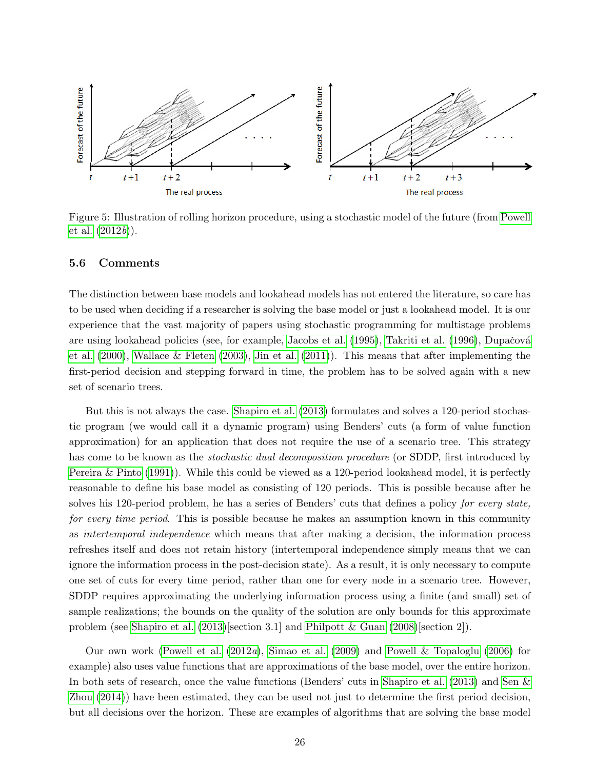<span id="page-28-2"></span>

<span id="page-28-1"></span>Figure 5: Illustration of rolling horizon procedure, using a stochastic model of the future (from [Powell](#page-38-0) [et al.](#page-38-0)  $(2012b)$  $(2012b)$ .

#### <span id="page-28-0"></span>5.6 Comments

The distinction between base models and lookahead models has not entered the literature, so care has to be used when deciding if a researcher is solving the base model or just a lookahead model. It is our experience that the vast majority of papers using stochastic programming for multistage problems are using lookahead policies (see, for example, [Jacobs et al.](#page-37-10) [\(1995\)](#page-37-10), [Takriti et al.](#page-39-3) [\(1996\)](#page-39-3), Dupačová [et al.](#page-36-17)  $(2000)$ , [Wallace & Fleten](#page-39-5)  $(2003)$ , [Jin et al.](#page-37-11)  $(2011)$ ). This means that after implementing the first-period decision and stepping forward in time, the problem has to be solved again with a new set of scenario trees.

But this is not always the case. [Shapiro et al.](#page-38-7) [\(2013\)](#page-38-7) formulates and solves a 120-period stochastic program (we would call it a dynamic program) using Benders' cuts (a form of value function approximation) for an application that does not require the use of a scenario tree. This strategy has come to be known as the *stochastic dual decomposition procedure* (or SDDP, first introduced by [Pereira & Pinto](#page-37-3) [\(1991\)](#page-37-3)). While this could be viewed as a 120-period lookahead model, it is perfectly reasonable to define his base model as consisting of 120 periods. This is possible because after he solves his 120-period problem, he has a series of Benders' cuts that defines a policy for every state, for every time period. This is possible because he makes an assumption known in this community as intertemporal independence which means that after making a decision, the information process refreshes itself and does not retain history (intertemporal independence simply means that we can ignore the information process in the post-decision state). As a result, it is only necessary to compute one set of cuts for every time period, rather than one for every node in a scenario tree. However, SDDP requires approximating the underlying information process using a finite (and small) set of sample realizations; the bounds on the quality of the solution are only bounds for this approximate problem (see [Shapiro et al.](#page-38-7)  $(2013)$ [section 3.1] and [Philpott & Guan](#page-37-6)  $(2008)$ [section 2]).

Our own work [\(Powell et al.](#page-38-2) [\(2012](#page-38-2)a), [Simao et al.](#page-38-1) [\(2009\)](#page-38-1) and [Powell & Topaloglu](#page-37-12) [\(2006\)](#page-37-12) for example) also uses value functions that are approximations of the base model, over the entire horizon. In both sets of research, once the value functions (Benders' cuts in [Shapiro et al.](#page-38-7) [\(2013\)](#page-38-7) and [Sen &](#page-38-11) [Zhou](#page-38-11) [\(2014\)](#page-38-11)) have been estimated, they can be used not just to determine the first period decision, but all decisions over the horizon. These are examples of algorithms that are solving the base model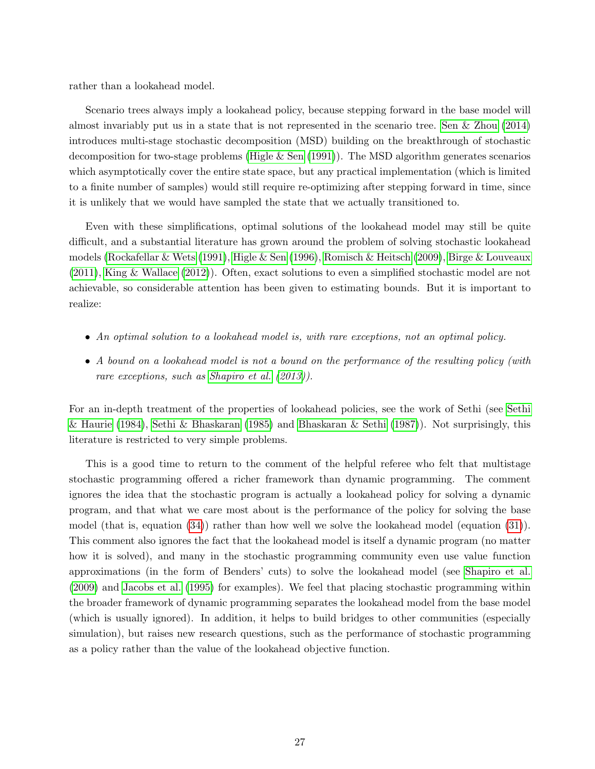<span id="page-29-0"></span>rather than a lookahead model.

Scenario trees always imply a lookahead policy, because stepping forward in the base model will almost invariably put us in a state that is not represented in the scenario tree. [Sen & Zhou](#page-38-11) [\(2014\)](#page-38-11) introduces multi-stage stochastic decomposition (MSD) building on the breakthrough of stochastic decomposition for two-stage problems [\(Higle & Sen](#page-36-18) [\(1991\)](#page-36-18)). The MSD algorithm generates scenarios which asymptotically cover the entire state space, but any practical implementation (which is limited to a finite number of samples) would still require re-optimizing after stepping forward in time, since it is unlikely that we would have sampled the state that we actually transitioned to.

Even with these simplifications, optimal solutions of the lookahead model may still be quite difficult, and a substantial literature has grown around the problem of solving stochastic lookahead models [\(Rockafellar & Wets](#page-38-10) [\(1991\)](#page-38-10), [Higle & Sen](#page-37-13) [\(1996\)](#page-37-13), [Romisch & Heitsch](#page-38-9) [\(2009\)](#page-38-9), [Birge & Louveaux](#page-36-8) [\(2011\)](#page-36-8), [King & Wallace](#page-37-14) [\(2012\)](#page-37-14)). Often, exact solutions to even a simplified stochastic model are not achievable, so considerable attention has been given to estimating bounds. But it is important to realize:

- An optimal solution to a lookahead model is, with rare exceptions, not an optimal policy.
- A bound on a lookahead model is not a bound on the performance of the resulting policy (with rare exceptions, such as [Shapiro et al.](#page-38-7) [\(2013\)](#page-38-7)).

For an in-depth treatment of the properties of lookahead policies, see the work of Sethi (see [Sethi](#page-38-12) [& Haurie](#page-38-12) [\(1984\)](#page-38-12), [Sethi & Bhaskaran](#page-38-13) [\(1985\)](#page-38-13) and [Bhaskaran & Sethi](#page-36-19) [\(1987\)](#page-36-19)). Not surprisingly, this literature is restricted to very simple problems.

This is a good time to return to the comment of the helpful referee who felt that multistage stochastic programming offered a richer framework than dynamic programming. The comment ignores the idea that the stochastic program is actually a lookahead policy for solving a dynamic program, and that what we care most about is the performance of the policy for solving the base model (that is, equation [\(34\)](#page-21-1)) rather than how well we solve the lookahead model (equation [\(31\)](#page-18-0)). This comment also ignores the fact that the lookahead model is itself a dynamic program (no matter how it is solved), and many in the stochastic programming community even use value function approximations (in the form of Benders' cuts) to solve the lookahead model (see [Shapiro et al.](#page-38-4) [\(2009\)](#page-38-4) and [Jacobs et al.](#page-37-10) [\(1995\)](#page-37-10) for examples). We feel that placing stochastic programming within the broader framework of dynamic programming separates the lookahead model from the base model (which is usually ignored). In addition, it helps to build bridges to other communities (especially simulation), but raises new research questions, such as the performance of stochastic programming as a policy rather than the value of the lookahead objective function.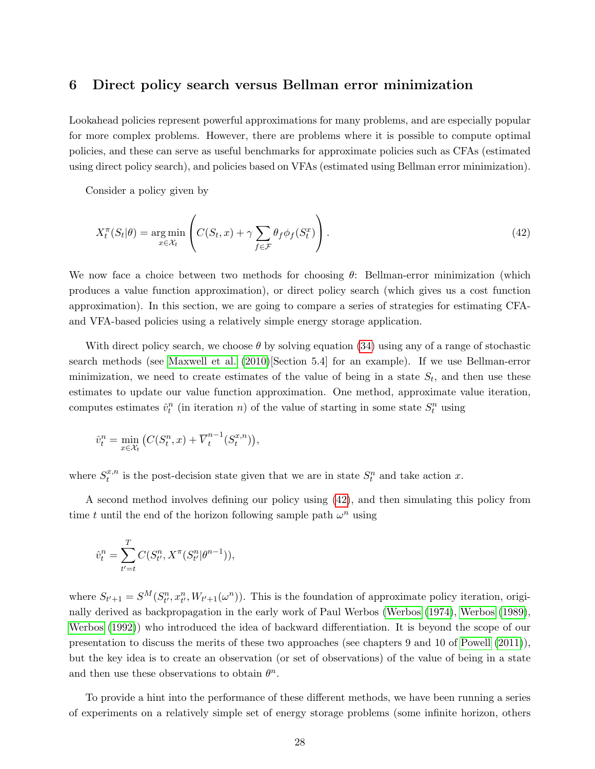## <span id="page-30-2"></span><span id="page-30-0"></span>6 Direct policy search versus Bellman error minimization

Lookahead policies represent powerful approximations for many problems, and are especially popular for more complex problems. However, there are problems where it is possible to compute optimal policies, and these can serve as useful benchmarks for approximate policies such as CFAs (estimated using direct policy search), and policies based on VFAs (estimated using Bellman error minimization).

Consider a policy given by

<span id="page-30-1"></span>
$$
X_t^{\pi}(S_t|\theta) = \underset{x \in \mathcal{X}_t}{\arg \min} \left( C(S_t, x) + \gamma \sum_{f \in \mathcal{F}} \theta_f \phi_f(S_t^x) \right). \tag{42}
$$

We now face a choice between two methods for choosing  $\theta$ : Bellman-error minimization (which produces a value function approximation), or direct policy search (which gives us a cost function approximation). In this section, we are going to compare a series of strategies for estimating CFAand VFA-based policies using a relatively simple energy storage application.

With direct policy search, we choose  $\theta$  by solving equation [\(34\)](#page-21-1) using any of a range of stochastic search methods (see [Maxwell et al.](#page-37-15) [\(2010\)](#page-37-15)[Section 5.4] for an example). If we use Bellman-error minimization, we need to create estimates of the value of being in a state  $S_t$ , and then use these estimates to update our value function approximation. One method, approximate value iteration, computes estimates  $\hat{v}_t^n$  (in iteration n) of the value of starting in some state  $S_t^n$  using

$$
\hat{v}_t^n = \min_{x \in \mathcal{X}_t} \left( C(S_t^n, x) + \overline{V}_t^{n-1}(S_t^{x,n}) \right),
$$

where  $S_t^{x,n}$  $t^{x,n}_t$  is the post-decision state given that we are in state  $S_t^n$  and take action x.

A second method involves defining our policy using [\(42\)](#page-30-1), and then simulating this policy from time t until the end of the horizon following sample path  $\omega^n$  using

$$
\hat{v}_t^n = \sum_{t'=t}^T C(S_{t'}^n, X^\pi(S_{t'}^n | \theta^{n-1})),
$$

where  $S_{t'+1} = S^M(S_{t'}^n, x_{t'}^n, W_{t'+1}(\omega^n))$ . This is the foundation of approximate policy iteration, originally derived as backpropagation in the early work of Paul Werbos [\(Werbos](#page-39-6) [\(1974\)](#page-39-6), [Werbos](#page-39-7) [\(1989\)](#page-39-7), [Werbos](#page-39-8) [\(1992\)](#page-39-8)) who introduced the idea of backward differentiation. It is beyond the scope of our presentation to discuss the merits of these two approaches (see chapters 9 and 10 of [Powell](#page-37-0) [\(2011\)](#page-37-0)), but the key idea is to create an observation (or set of observations) of the value of being in a state and then use these observations to obtain  $\theta^n$ .

To provide a hint into the performance of these different methods, we have been running a series of experiments on a relatively simple set of energy storage problems (some infinite horizon, others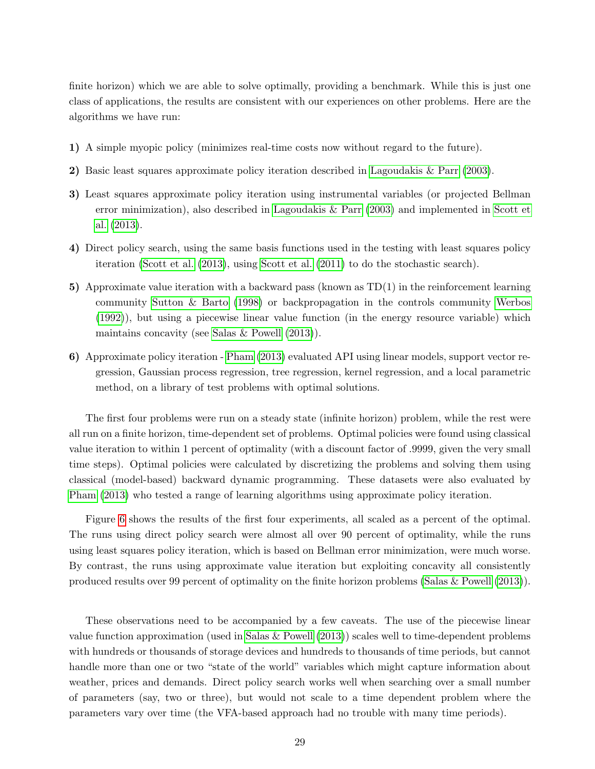<span id="page-31-0"></span>finite horizon) which we are able to solve optimally, providing a benchmark. While this is just one class of applications, the results are consistent with our experiences on other problems. Here are the algorithms we have run:

- 1) A simple myopic policy (minimizes real-time costs now without regard to the future).
- 2) Basic least squares approximate policy iteration described in [Lagoudakis & Parr](#page-37-16) [\(2003\)](#page-37-16).
- 3) Least squares approximate policy iteration using instrumental variables (or projected Bellman error minimization), also described in [Lagoudakis & Parr](#page-37-16) [\(2003\)](#page-37-16) and implemented in [Scott et](#page-38-14) [al.](#page-38-14) [\(2013\)](#page-38-14).
- 4) Direct policy search, using the same basis functions used in the testing with least squares policy iteration [\(Scott et al.](#page-38-14) [\(2013\)](#page-38-14), using [Scott et al.](#page-38-15) [\(2011\)](#page-38-15) to do the stochastic search).
- 5) Approximate value iteration with a backward pass (known as TD(1) in the reinforcement learning community [Sutton & Barto](#page-39-9) [\(1998\)](#page-39-9) or backpropagation in the controls community [Werbos](#page-39-8) [\(1992\)](#page-39-8)), but using a piecewise linear value function (in the energy resource variable) which maintains concavity (see [Salas & Powell](#page-38-16) [\(2013\)](#page-38-16)).
- 6) Approximate policy iteration - [Pham](#page-37-17) [\(2013\)](#page-37-17) evaluated API using linear models, support vector regression, Gaussian process regression, tree regression, kernel regression, and a local parametric method, on a library of test problems with optimal solutions.

The first four problems were run on a steady state (infinite horizon) problem, while the rest were all run on a finite horizon, time-dependent set of problems. Optimal policies were found using classical value iteration to within 1 percent of optimality (with a discount factor of .9999, given the very small time steps). Optimal policies were calculated by discretizing the problems and solving them using classical (model-based) backward dynamic programming. These datasets were also evaluated by [Pham](#page-37-17) [\(2013\)](#page-37-17) who tested a range of learning algorithms using approximate policy iteration.

Figure [6](#page-32-0) shows the results of the first four experiments, all scaled as a percent of the optimal. The runs using direct policy search were almost all over 90 percent of optimality, while the runs using least squares policy iteration, which is based on Bellman error minimization, were much worse. By contrast, the runs using approximate value iteration but exploiting concavity all consistently produced results over 99 percent of optimality on the finite horizon problems [\(Salas & Powell](#page-38-16) [\(2013\)](#page-38-16)).

These observations need to be accompanied by a few caveats. The use of the piecewise linear value function approximation (used in [Salas & Powell](#page-38-16) [\(2013\)](#page-38-16)) scales well to time-dependent problems with hundreds or thousands of storage devices and hundreds to thousands of time periods, but cannot handle more than one or two "state of the world" variables which might capture information about weather, prices and demands. Direct policy search works well when searching over a small number of parameters (say, two or three), but would not scale to a time dependent problem where the parameters vary over time (the VFA-based approach had no trouble with many time periods).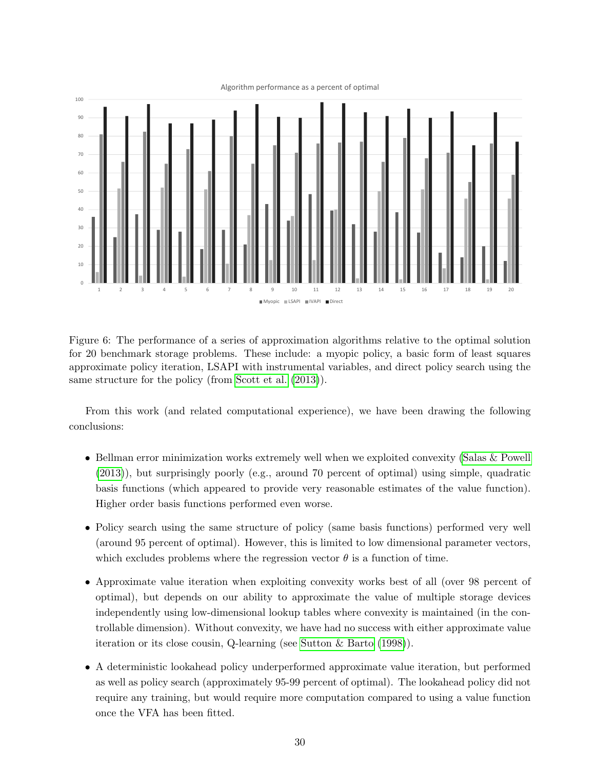Algorithm performance as a percent of optimal

<span id="page-32-1"></span>

<span id="page-32-0"></span>Figure 6: The performance of a series of approximation algorithms relative to the optimal solution for 20 benchmark storage problems. These include: a myopic policy, a basic form of least squares approximate policy iteration, LSAPI with instrumental variables, and direct policy search using the same structure for the policy (from [Scott et al.](#page-38-14)  $(2013)$ ).

From this work (and related computational experience), we have been drawing the following conclusions:

- Bellman error minimization works extremely well when we exploited convexity [\(Salas & Powell](#page-38-16) [\(2013\)](#page-38-16)), but surprisingly poorly (e.g., around 70 percent of optimal) using simple, quadratic basis functions (which appeared to provide very reasonable estimates of the value function). Higher order basis functions performed even worse.
- Policy search using the same structure of policy (same basis functions) performed very well (around 95 percent of optimal). However, this is limited to low dimensional parameter vectors, which excludes problems where the regression vector  $\theta$  is a function of time.
- Approximate value iteration when exploiting convexity works best of all (over 98 percent of optimal), but depends on our ability to approximate the value of multiple storage devices independently using low-dimensional lookup tables where convexity is maintained (in the controllable dimension). Without convexity, we have had no success with either approximate value iteration or its close cousin, Q-learning (see [Sutton & Barto](#page-39-9) [\(1998\)](#page-39-9)).
- A deterministic lookahead policy underperformed approximate value iteration, but performed as well as policy search (approximately 95-99 percent of optimal). The lookahead policy did not require any training, but would require more computation compared to using a value function once the VFA has been fitted.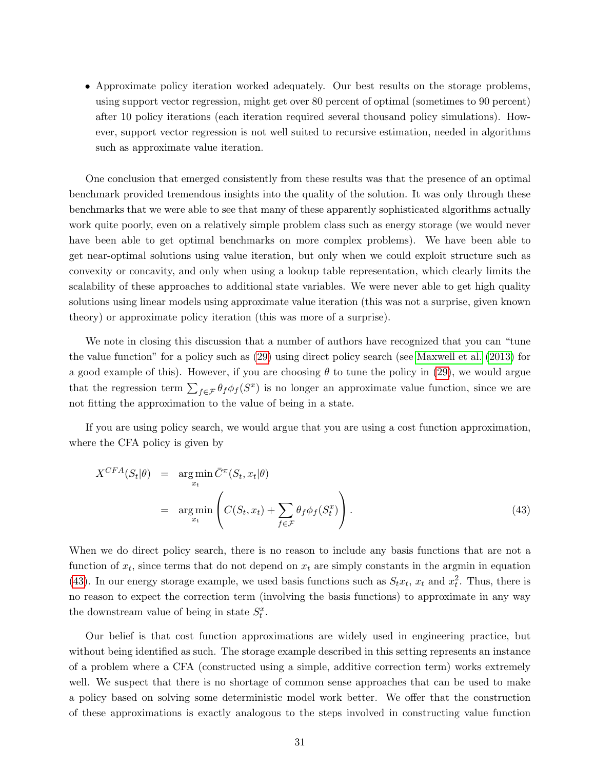<span id="page-33-1"></span>• Approximate policy iteration worked adequately. Our best results on the storage problems, using support vector regression, might get over 80 percent of optimal (sometimes to 90 percent) after 10 policy iterations (each iteration required several thousand policy simulations). However, support vector regression is not well suited to recursive estimation, needed in algorithms such as approximate value iteration.

One conclusion that emerged consistently from these results was that the presence of an optimal benchmark provided tremendous insights into the quality of the solution. It was only through these benchmarks that we were able to see that many of these apparently sophisticated algorithms actually work quite poorly, even on a relatively simple problem class such as energy storage (we would never have been able to get optimal benchmarks on more complex problems). We have been able to get near-optimal solutions using value iteration, but only when we could exploit structure such as convexity or concavity, and only when using a lookup table representation, which clearly limits the scalability of these approaches to additional state variables. We were never able to get high quality solutions using linear models using approximate value iteration (this was not a surprise, given known theory) or approximate policy iteration (this was more of a surprise).

We note in closing this discussion that a number of authors have recognized that you can "tune the value function" for a policy such as [\(29\)](#page-17-2) using direct policy search (see [Maxwell et al.](#page-37-18) [\(2013\)](#page-37-18) for a good example of this). However, if you are choosing  $\theta$  to tune the policy in [\(29\)](#page-17-2), we would argue that the regression term  $\sum_{f \in \mathcal{F}} \theta_f \phi_f(S^x)$  is no longer an approximate value function, since we are not fitting the approximation to the value of being in a state.

If you are using policy search, we would argue that you are using a cost function approximation, where the CFA policy is given by

<span id="page-33-0"></span>
$$
X^{CFA}(S_t|\theta) = \underset{x_t}{\arg\min} \bar{C}^{\pi}(S_t, x_t|\theta)
$$
  
= 
$$
\underset{x_t}{\arg\min} \left( C(S_t, x_t) + \sum_{f \in \mathcal{F}} \theta_f \phi_f(S_t^x) \right).
$$
 (43)

When we do direct policy search, there is no reason to include any basis functions that are not a function of  $x_t$ , since terms that do not depend on  $x_t$  are simply constants in the argmin in equation [\(43\)](#page-33-0). In our energy storage example, we used basis functions such as  $S_t x_t$ ,  $x_t$  and  $x_t^2$ . Thus, there is no reason to expect the correction term (involving the basis functions) to approximate in any way the downstream value of being in state  $S_t^x$ .

Our belief is that cost function approximations are widely used in engineering practice, but without being identified as such. The storage example described in this setting represents an instance of a problem where a CFA (constructed using a simple, additive correction term) works extremely well. We suspect that there is no shortage of common sense approaches that can be used to make a policy based on solving some deterministic model work better. We offer that the construction of these approximations is exactly analogous to the steps involved in constructing value function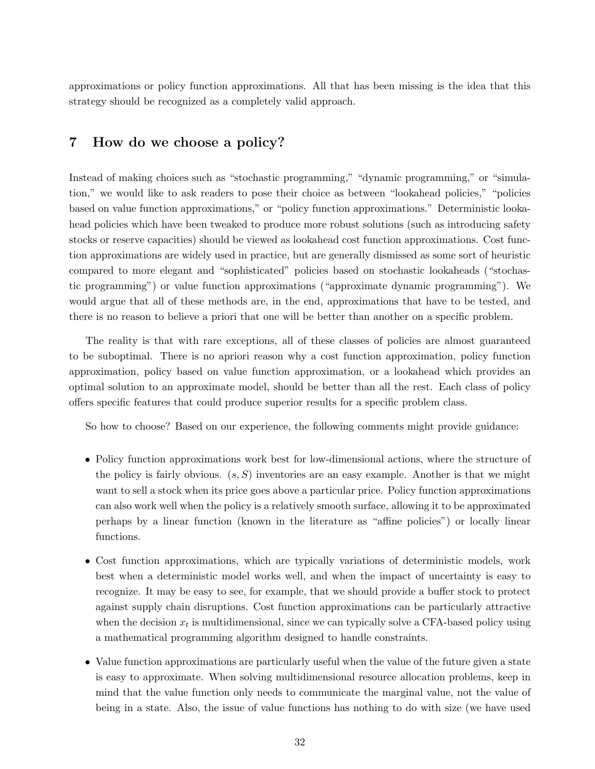approximations or policy function approximations. All that has been missing is the idea that this strategy should be recognized as a completely valid approach.

## <span id="page-34-0"></span>7 How do we choose a policy?

Instead of making choices such as "stochastic programming," "dynamic programming," or "simulation," we would like to ask readers to pose their choice as between "lookahead policies," "policies based on value function approximations," or "policy function approximations." Deterministic lookahead policies which have been tweaked to produce more robust solutions (such as introducing safety stocks or reserve capacities) should be viewed as lookahead cost function approximations. Cost function approximations are widely used in practice, but are generally dismissed as some sort of heuristic compared to more elegant and "sophisticated" policies based on stochastic lookaheads ("stochastic programming") or value function approximations ("approximate dynamic programming"). We would argue that all of these methods are, in the end, approximations that have to be tested, and there is no reason to believe a priori that one will be better than another on a specific problem.

The reality is that with rare exceptions, all of these classes of policies are almost guaranteed to be suboptimal. There is no apriori reason why a cost function approximation, policy function approximation, policy based on value function approximation, or a lookahead which provides an optimal solution to an approximate model, should be better than all the rest. Each class of policy offers specific features that could produce superior results for a specific problem class.

So how to choose? Based on our experience, the following comments might provide guidance:

- Policy function approximations work best for low-dimensional actions, where the structure of the policy is fairly obvious.  $(s, S)$  inventories are an easy example. Another is that we might want to sell a stock when its price goes above a particular price. Policy function approximations can also work well when the policy is a relatively smooth surface, allowing it to be approximated perhaps by a linear function (known in the literature as "affine policies") or locally linear functions.
- Cost function approximations, which are typically variations of deterministic models, work best when a deterministic model works well, and when the impact of uncertainty is easy to recognize. It may be easy to see, for example, that we should provide a buffer stock to protect against supply chain disruptions. Cost function approximations can be particularly attractive when the decision  $x_t$  is multidimensional, since we can typically solve a CFA-based policy using a mathematical programming algorithm designed to handle constraints.
- Value function approximations are particularly useful when the value of the future given a state is easy to approximate. When solving multidimensional resource allocation problems, keep in mind that the value function only needs to communicate the marginal value, not the value of being in a state. Also, the issue of value functions has nothing to do with size (we have used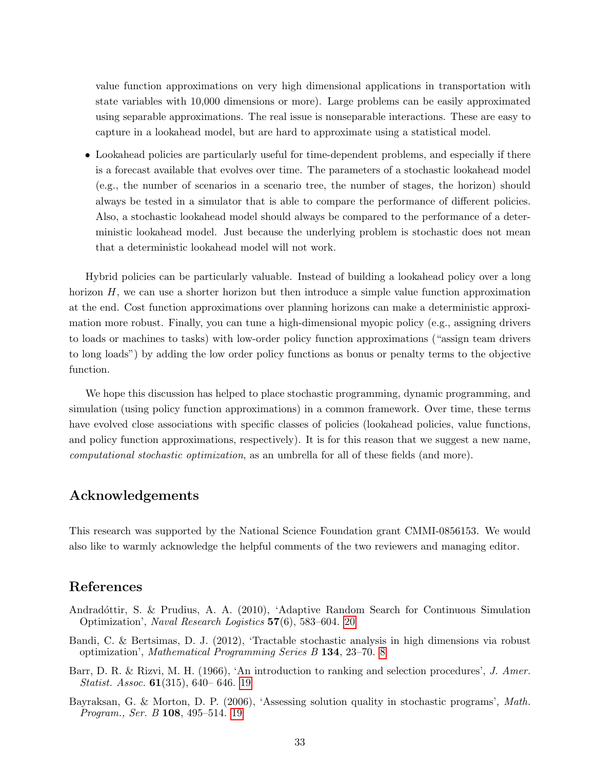value function approximations on very high dimensional applications in transportation with state variables with 10,000 dimensions or more). Large problems can be easily approximated using separable approximations. The real issue is nonseparable interactions. These are easy to capture in a lookahead model, but are hard to approximate using a statistical model.

• Lookahead policies are particularly useful for time-dependent problems, and especially if there is a forecast available that evolves over time. The parameters of a stochastic lookahead model (e.g., the number of scenarios in a scenario tree, the number of stages, the horizon) should always be tested in a simulator that is able to compare the performance of different policies. Also, a stochastic lookahead model should always be compared to the performance of a deterministic lookahead model. Just because the underlying problem is stochastic does not mean that a deterministic lookahead model will not work.

Hybrid policies can be particularly valuable. Instead of building a lookahead policy over a long horizon  $H$ , we can use a shorter horizon but then introduce a simple value function approximation at the end. Cost function approximations over planning horizons can make a deterministic approximation more robust. Finally, you can tune a high-dimensional myopic policy (e.g., assigning drivers to loads or machines to tasks) with low-order policy function approximations ("assign team drivers to long loads") by adding the low order policy functions as bonus or penalty terms to the objective function.

We hope this discussion has helped to place stochastic programming, dynamic programming, and simulation (using policy function approximations) in a common framework. Over time, these terms have evolved close associations with specific classes of policies (lookahead policies, value functions, and policy function approximations, respectively). It is for this reason that we suggest a new name, computational stochastic optimization, as an umbrella for all of these fields (and more).

## <span id="page-35-0"></span>Acknowledgements

This research was supported by the National Science Foundation grant CMMI-0856153. We would also like to warmly acknowledge the helpful comments of the two reviewers and managing editor.

## References

- <span id="page-35-4"></span>Andradóttir, S. & Prudius, A. A. (2010), 'Adaptive Random Search for Continuous Simulation Optimization', Naval Research Logistics 57(6), 583–604. [20](#page-22-3)
- <span id="page-35-1"></span>Bandi, C. & Bertsimas, D. J. (2012), 'Tractable stochastic analysis in high dimensions via robust optimization', Mathematical Programming Series B 134, 23–70. [8](#page-10-3)
- <span id="page-35-3"></span>Barr, D. R. & Rizvi, M. H. (1966), 'An introduction to ranking and selection procedures', J. Amer. Statist. Assoc. 61(315), 640– 646. [19](#page-21-2)
- <span id="page-35-2"></span>Bayraksan, G. & Morton, D. P. (2006), 'Assessing solution quality in stochastic programs', Math. Program., Ser. B 108, 495–514. [19](#page-21-2)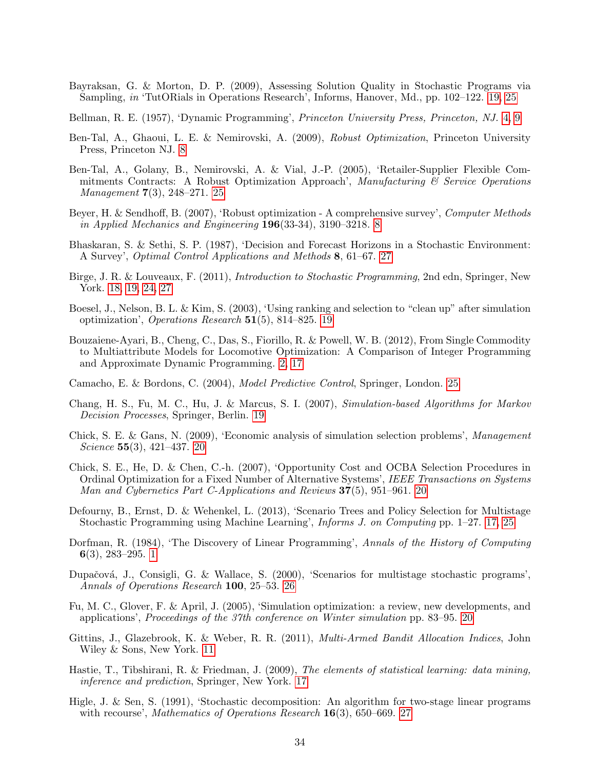- <span id="page-36-9"></span>Bayraksan, G. & Morton, D. P. (2009), Assessing Solution Quality in Stochastic Programs via Sampling, in 'TutORials in Operations Research', Informs, Hanover, Md., pp. 102–122. [19,](#page-21-2) [25](#page-27-1)
- <span id="page-36-2"></span>Bellman, R. E. (1957), 'Dynamic Programming', Princeton University Press, Princeton, NJ. [4,](#page-6-5) [9](#page-11-1)
- <span id="page-36-4"></span>Ben-Tal, A., Ghaoui, L. E. & Nemirovski, A. (2009), Robust Optimization, Princeton University Press, Princeton NJ. [8](#page-10-3)
- <span id="page-36-16"></span>Ben-Tal, A., Golany, B., Nemirovski, A. & Vial, J.-P. (2005), 'Retailer-Supplier Flexible Commitments Contracts: A Robust Optimization Approach', Manufacturing  $\mathscr B$  Service Operations Management 7(3), 248–271. [25](#page-27-1)
- <span id="page-36-3"></span>Beyer, H. & Sendhoff, B. (2007), 'Robust optimization - A comprehensive survey', Computer Methods in Applied Mechanics and Engineering 196(33-34), 3190–3218. [8](#page-10-3)
- <span id="page-36-19"></span>Bhaskaran, S. & Sethi, S. P. (1987), 'Decision and Forecast Horizons in a Stochastic Environment: A Survey', Optimal Control Applications and Methods 8, 61–67. [27](#page-29-0)
- <span id="page-36-8"></span>Birge, J. R. & Louveaux, F. (2011), Introduction to Stochastic Programming, 2nd edn, Springer, New York. [18,](#page-20-2) [19,](#page-21-2) [24,](#page-26-2) [27](#page-29-0)
- <span id="page-36-11"></span>Boesel, J., Nelson, B. L. & Kim, S. (2003), 'Using ranking and selection to "clean up" after simulation optimization', *Operations Research*  $51(5)$ , 814–825. [19](#page-21-2)
- <span id="page-36-1"></span>Bouzaiene-Ayari, B., Cheng, C., Das, S., Fiorillo, R. & Powell, W. B. (2012), From Single Commodity to Multiattribute Models for Locomotive Optimization: A Comparison of Integer Programming and Approximate Dynamic Programming. [2,](#page-4-0) [17](#page-19-1)
- <span id="page-36-15"></span>Camacho, E. & Bordons, C. (2004), Model Predictive Control, Springer, London. [25](#page-27-1)
- <span id="page-36-10"></span>Chang, H. S., Fu, M. C., Hu, J. & Marcus, S. I. (2007), Simulation-based Algorithms for Markov Decision Processes, Springer, Berlin. [19](#page-21-2)
- <span id="page-36-14"></span>Chick, S. E. & Gans, N. (2009), 'Economic analysis of simulation selection problems', Management Science 55(3), 421–437. [20](#page-22-3)
- <span id="page-36-13"></span>Chick, S. E., He, D. & Chen, C.-h. (2007), 'Opportunity Cost and OCBA Selection Procedures in Ordinal Optimization for a Fixed Number of Alternative Systems', IEEE Transactions on Systems Man and Cybernetics Part C-Applications and Reviews 37(5), 951–961. [20](#page-22-3)
- <span id="page-36-6"></span>Defourny, B., Ernst, D. & Wehenkel, L. (2013), 'Scenario Trees and Policy Selection for Multistage Stochastic Programming using Machine Learning', Informs J. on Computing pp. 1–27. [17,](#page-19-1) [25](#page-27-1)
- <span id="page-36-0"></span>Dorfman, R. (1984), 'The Discovery of Linear Programming', Annals of the History of Computing 6(3), 283–295. [1](#page-0-0)
- <span id="page-36-17"></span>Dupačová, J., Consigli, G. & Wallace, S. (2000), 'Scenarios for multistage stochastic programs', Annals of Operations Research 100, 25–53. [26](#page-28-2)
- <span id="page-36-12"></span>Fu, M. C., Glover, F. & April, J. (2005), 'Simulation optimization: a review, new developments, and applications', Proceedings of the 37th conference on Winter simulation pp. 83–95. [20](#page-22-3)
- <span id="page-36-5"></span>Gittins, J., Glazebrook, K. & Weber, R. R. (2011), Multi-Armed Bandit Allocation Indices, John Wiley & Sons, New York. [11](#page-13-0)
- <span id="page-36-7"></span>Hastie, T., Tibshirani, R. & Friedman, J. (2009), The elements of statistical learning: data mining, inference and prediction, Springer, New York. [17](#page-19-1)
- <span id="page-36-18"></span>Higle, J. & Sen, S. (1991), 'Stochastic decomposition: An algorithm for two-stage linear programs with recourse', Mathematics of Operations Research  $16(3)$ , 650–669. [27](#page-29-0)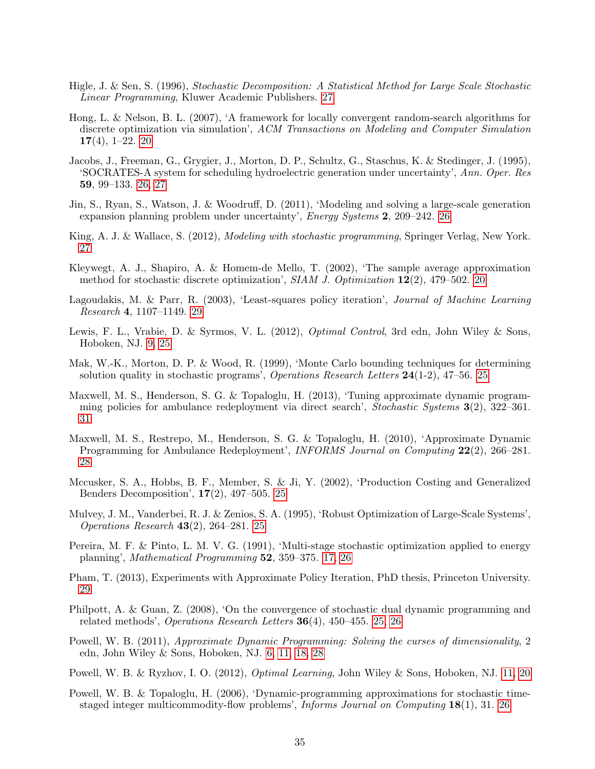- <span id="page-37-13"></span>Higle, J. & Sen, S. (1996), Stochastic Decomposition: A Statistical Method for Large Scale Stochastic Linear Programming, Kluwer Academic Publishers. [27](#page-29-0)
- <span id="page-37-5"></span>Hong, L. & Nelson, B. L. (2007), 'A framework for locally convergent random-search algorithms for discrete optimization via simulation', ACM Transactions on Modeling and Computer Simulation  $17(4)$ , 1–22. [20](#page-22-3)
- <span id="page-37-10"></span>Jacobs, J., Freeman, G., Grygier, J., Morton, D. P., Schultz, G., Staschus, K. & Stedinger, J. (1995), 'SOCRATES-A system for scheduling hydroelectric generation under uncertainty', Ann. Oper. Res 59, 99–133. [26,](#page-28-2) [27](#page-29-0)
- <span id="page-37-11"></span>Jin, S., Ryan, S., Watson, J. & Woodruff, D. (2011), 'Modeling and solving a large-scale generation expansion planning problem under uncertainty', Energy Systems 2, 209–242. [26](#page-28-2)
- <span id="page-37-14"></span>King, A. J. & Wallace, S. (2012), Modeling with stochastic programming, Springer Verlag, New York. [27](#page-29-0)
- <span id="page-37-4"></span>Kleywegt, A. J., Shapiro, A. & Homem-de Mello, T. (2002), 'The sample average approximation method for stochastic discrete optimization',  $SIAM J.$  Optimization  $12(2)$ , 479–502. [20](#page-22-3)
- <span id="page-37-16"></span>Lagoudakis, M. & Parr, R. (2003), 'Least-squares policy iteration', *Journal of Machine Learning* Research 4, 1107–1149. [29](#page-31-0)
- <span id="page-37-1"></span>Lewis, F. L., Vrabie, D. & Syrmos, V. L. (2012), Optimal Control, 3rd edn, John Wiley & Sons, Hoboken, NJ. [9,](#page-11-1) [25](#page-27-1)
- <span id="page-37-7"></span>Mak, W.-K., Morton, D. P. & Wood, R. (1999), 'Monte Carlo bounding techniques for determining solution quality in stochastic programs', *Operations Research Letters*  $24(1-2)$ ,  $47-56$ . [25](#page-27-1)
- <span id="page-37-18"></span>Maxwell, M. S., Henderson, S. G. & Topaloglu, H. (2013), 'Tuning approximate dynamic programming policies for ambulance redeployment via direct search', Stochastic Systems 3(2), 322–361. [31](#page-33-1)
- <span id="page-37-15"></span>Maxwell, M. S., Restrepo, M., Henderson, S. G. & Topaloglu, H. (2010), 'Approximate Dynamic Programming for Ambulance Redeployment', INFORMS Journal on Computing 22(2), 266–281. [28](#page-30-2)
- <span id="page-37-9"></span>Mccusker, S. A., Hobbs, B. F., Member, S. & Ji, Y. (2002), 'Production Costing and Generalized Benders Decomposition', 17(2), 497–505. [25](#page-27-1)
- <span id="page-37-8"></span>Mulvey, J. M., Vanderbei, R. J. & Zenios, S. A. (1995), 'Robust Optimization of Large-Scale Systems', Operations Research 43(2), 264–281. [25](#page-27-1)
- <span id="page-37-3"></span>Pereira, M. F. & Pinto, L. M. V. G. (1991), 'Multi-stage stochastic optimization applied to energy planning', Mathematical Programming 52, 359–375. [17,](#page-19-1) [26](#page-28-2)
- <span id="page-37-17"></span>Pham, T. (2013), Experiments with Approximate Policy Iteration, PhD thesis, Princeton University. [29](#page-31-0)
- <span id="page-37-6"></span>Philpott, A. & Guan, Z. (2008), 'On the convergence of stochastic dual dynamic programming and related methods', *Operations Research Letters*  $36(4)$ ,  $450-455$ . [25,](#page-27-1) [26](#page-28-2)
- <span id="page-37-0"></span>Powell, W. B. (2011), Approximate Dynamic Programming: Solving the curses of dimensionality, 2 edn, John Wiley & Sons, Hoboken, NJ. [6,](#page-8-1) [11,](#page-13-0) [18,](#page-20-2) [28](#page-30-2)
- <span id="page-37-2"></span>Powell, W. B. & Ryzhov, I. O. (2012), *Optimal Learning*, John Wiley & Sons, Hoboken, NJ. [11,](#page-13-0) [20](#page-22-3)
- <span id="page-37-12"></span>Powell, W. B. & Topaloglu, H. (2006), 'Dynamic-programming approximations for stochastic timestaged integer multicommodity-flow problems', Informs Journal on Computing 18(1), 31. [26](#page-28-2)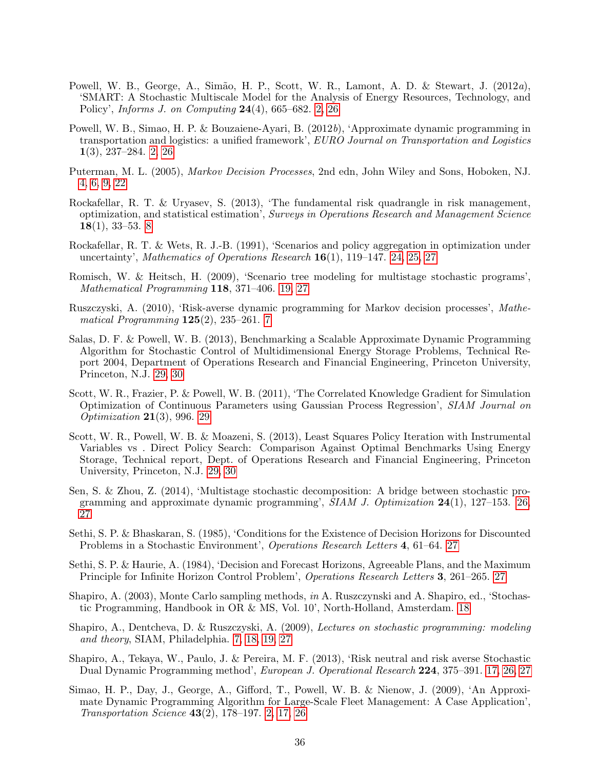- <span id="page-38-2"></span>Powell, W. B., George, A., Simão, H. P., Scott, W. R., Lamont, A. D. & Stewart, J. (2012a), 'SMART: A Stochastic Multiscale Model for the Analysis of Energy Resources, Technology, and Policy', Informs J. on Computing 24(4), 665–682. [2,](#page-4-0) [26](#page-28-2)
- <span id="page-38-0"></span>Powell, W. B., Simao, H. P. & Bouzaiene-Ayari, B. (2012b), 'Approximate dynamic programming in transportation and logistics: a unified framework', EURO Journal on Transportation and Logistics 1(3), 237–284. [2,](#page-4-0) [26](#page-28-2)
- <span id="page-38-3"></span>Puterman, M. L. (2005), Markov Decision Processes, 2nd edn, John Wiley and Sons, Hoboken, NJ. [4,](#page-6-5) [6,](#page-8-1) [9,](#page-11-1) [22](#page-24-1)
- <span id="page-38-6"></span>Rockafellar, R. T. & Uryasev, S. (2013), 'The fundamental risk quadrangle in risk management, optimization, and statistical estimation', Surveys in Operations Research and Management Science  $18(1), 33-53.8$
- <span id="page-38-10"></span>Rockafellar, R. T. & Wets, R. J.-B. (1991), 'Scenarios and policy aggregation in optimization under uncertainty', *Mathematics of Operations Research*  $16(1)$ , 119–147. [24,](#page-26-2) [25,](#page-27-1) [27](#page-29-0)
- <span id="page-38-9"></span>Romisch, W. & Heitsch, H. (2009), 'Scenario tree modeling for multistage stochastic programs', Mathematical Programming 118, 371–406. [19,](#page-21-2) [27](#page-29-0)
- <span id="page-38-5"></span>Ruszczyski, A. (2010), 'Risk-averse dynamic programming for Markov decision processes', Mathe*matical Programming*  $125(2)$ ,  $235-261$ . [7](#page-9-1)
- <span id="page-38-16"></span>Salas, D. F. & Powell, W. B. (2013), Benchmarking a Scalable Approximate Dynamic Programming Algorithm for Stochastic Control of Multidimensional Energy Storage Problems, Technical Report 2004, Department of Operations Research and Financial Engineering, Princeton University, Princeton, N.J. [29,](#page-31-0) [30](#page-32-1)
- <span id="page-38-15"></span>Scott, W. R., Frazier, P. & Powell, W. B. (2011), 'The Correlated Knowledge Gradient for Simulation Optimization of Continuous Parameters using Gaussian Process Regression', SIAM Journal on Optimization 21(3), 996. [29](#page-31-0)
- <span id="page-38-14"></span>Scott, W. R., Powell, W. B. & Moazeni, S. (2013), Least Squares Policy Iteration with Instrumental Variables vs . Direct Policy Search: Comparison Against Optimal Benchmarks Using Energy Storage, Technical report, Dept. of Operations Research and Financial Engineering, Princeton University, Princeton, N.J. [29,](#page-31-0) [30](#page-32-1)
- <span id="page-38-11"></span>Sen, S. & Zhou, Z. (2014), 'Multistage stochastic decomposition: A bridge between stochastic programming and approximate dynamic programming',  $SIAM$  J. Optimization  $24(1)$ , 127–153. [26,](#page-28-2) [27](#page-29-0)
- <span id="page-38-13"></span>Sethi, S. P. & Bhaskaran, S. (1985), 'Conditions for the Existence of Decision Horizons for Discounted Problems in a Stochastic Environment', Operations Research Letters 4, 61–64. [27](#page-29-0)
- <span id="page-38-12"></span>Sethi, S. P. & Haurie, A. (1984), 'Decision and Forecast Horizons, Agreeable Plans, and the Maximum Principle for Infinite Horizon Control Problem', Operations Research Letters 3, 261–265. [27](#page-29-0)
- <span id="page-38-8"></span>Shapiro, A. (2003), Monte Carlo sampling methods, in A. Ruszczynski and A. Shapiro, ed., 'Stochastic Programming, Handbook in OR & MS, Vol. 10', North-Holland, Amsterdam. [18](#page-20-2)
- <span id="page-38-4"></span>Shapiro, A., Dentcheva, D. & Ruszczyski, A. (2009), Lectures on stochastic programming: modeling and theory, SIAM, Philadelphia. [7,](#page-9-1) [18,](#page-20-2) [19,](#page-21-2) [27](#page-29-0)
- <span id="page-38-7"></span>Shapiro, A., Tekaya, W., Paulo, J. & Pereira, M. F. (2013), 'Risk neutral and risk averse Stochastic Dual Dynamic Programming method', European J. Operational Research 224, 375–391. [17,](#page-19-1) [26,](#page-28-2) [27](#page-29-0)
- <span id="page-38-1"></span>Simao, H. P., Day, J., George, A., Gifford, T., Powell, W. B. & Nienow, J. (2009), 'An Approximate Dynamic Programming Algorithm for Large-Scale Fleet Management: A Case Application', Transportation Science 43(2), 178–197. [2,](#page-4-0) [17,](#page-19-1) [26](#page-28-2)